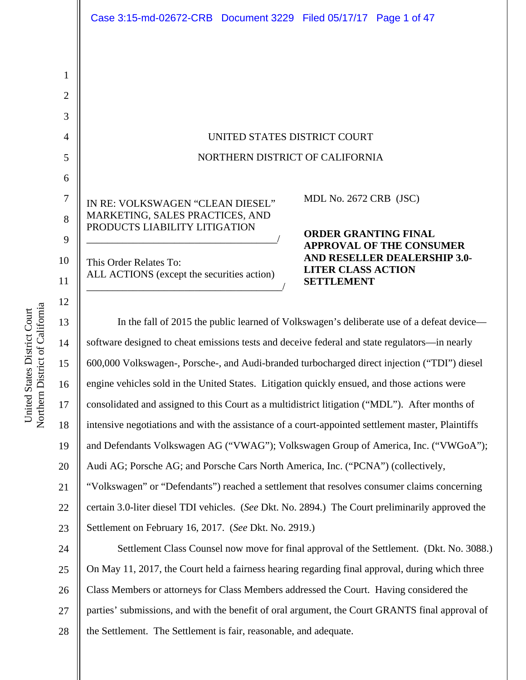1

#### UNITED STATES DISTRICT COURT NORTHERN DISTRICT OF CALIFORNIA

IN RE: VOLKSWAGEN "CLEAN DIESEL" MARKETING, SALES PRACTICES, AND PRODUCTS LIABILITY LITIGATION \_\_\_\_\_\_\_\_\_\_\_\_\_\_\_\_\_\_\_\_\_\_\_\_\_\_\_\_\_\_\_\_\_\_\_\_\_/

This Order Relates To: ALL ACTIONS (except the securities action) \_\_\_\_\_\_\_\_\_\_\_\_\_\_\_\_\_\_\_\_\_\_\_\_\_\_\_\_\_\_\_\_\_\_\_\_\_\_/ MDL No. 2672 CRB (JSC)

**ORDER GRANTING FINAL APPROVAL OF THE CONSUMER AND RESELLER DEALERSHIP 3.0- LITER CLASS ACTION SETTLEMENT** 

19 20 21 22 23 24 25 In the fall of 2015 the public learned of Volkswagen's deliberate use of a defeat device software designed to cheat emissions tests and deceive federal and state regulators—in nearly 600,000 Volkswagen-, Porsche-, and Audi-branded turbocharged direct injection ("TDI") diesel engine vehicles sold in the United States. Litigation quickly ensued, and those actions were consolidated and assigned to this Court as a multidistrict litigation ("MDL"). After months of intensive negotiations and with the assistance of a court-appointed settlement master, Plaintiffs and Defendants Volkswagen AG ("VWAG"); Volkswagen Group of America, Inc. ("VWGoA"); Audi AG; Porsche AG; and Porsche Cars North America, Inc. ("PCNA") (collectively, "Volkswagen" or "Defendants") reached a settlement that resolves consumer claims concerning certain 3.0-liter diesel TDI vehicles. (*See* Dkt. No. 2894.) The Court preliminarily approved the Settlement on February 16, 2017. (*See* Dkt. No. 2919.) Settlement Class Counsel now move for final approval of the Settlement. (Dkt. No. 3088.) On May 11, 2017, the Court held a fairness hearing regarding final approval, during which three Class Members or attorneys for Class Members addressed the Court. Having considered the

26 27 parties' submissions, and with the benefit of oral argument, the Court GRANTS final approval of

28 the Settlement. The Settlement is fair, reasonable, and adequate.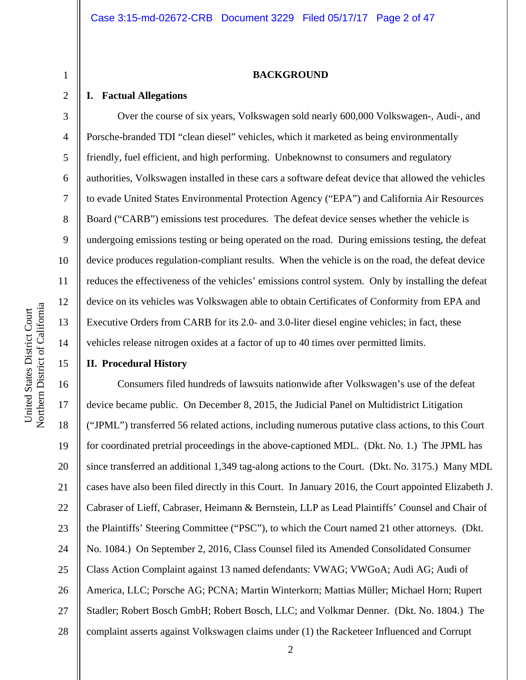#### **BACKGROUND**

#### **I. Factual Allegations**

1

2

3

4

5

6

7

8

9

10

11

12

13

14

15

Over the course of six years, Volkswagen sold nearly 600,000 Volkswagen-, Audi-, and Porsche-branded TDI "clean diesel" vehicles, which it marketed as being environmentally friendly, fuel efficient, and high performing. Unbeknownst to consumers and regulatory authorities, Volkswagen installed in these cars a software defeat device that allowed the vehicles to evade United States Environmental Protection Agency ("EPA") and California Air Resources Board ("CARB") emissions test procedures. The defeat device senses whether the vehicle is undergoing emissions testing or being operated on the road. During emissions testing, the defeat device produces regulation-compliant results. When the vehicle is on the road, the defeat device reduces the effectiveness of the vehicles' emissions control system. Only by installing the defeat device on its vehicles was Volkswagen able to obtain Certificates of Conformity from EPA and Executive Orders from CARB for its 2.0- and 3.0-liter diesel engine vehicles; in fact, these vehicles release nitrogen oxides at a factor of up to 40 times over permitted limits.

#### **II. Procedural History**

16 17 18 19 20 21 22 23 24 25 26 27 28 Consumers filed hundreds of lawsuits nationwide after Volkswagen's use of the defeat device became public. On December 8, 2015, the Judicial Panel on Multidistrict Litigation ("JPML") transferred 56 related actions, including numerous putative class actions, to this Court for coordinated pretrial proceedings in the above-captioned MDL. (Dkt. No. 1.) The JPML has since transferred an additional 1,349 tag-along actions to the Court. (Dkt. No. 3175.) Many MDL cases have also been filed directly in this Court. In January 2016, the Court appointed Elizabeth J. Cabraser of Lieff, Cabraser, Heimann & Bernstein, LLP as Lead Plaintiffs' Counsel and Chair of the Plaintiffs' Steering Committee ("PSC"), to which the Court named 21 other attorneys. (Dkt. No. 1084.) On September 2, 2016, Class Counsel filed its Amended Consolidated Consumer Class Action Complaint against 13 named defendants: VWAG; VWGoA; Audi AG; Audi of America, LLC; Porsche AG; PCNA; Martin Winterkorn; Mattias Müller; Michael Horn; Rupert Stadler; Robert Bosch GmbH; Robert Bosch, LLC; and Volkmar Denner. (Dkt. No. 1804.) The complaint asserts against Volkswagen claims under (1) the Racketeer Influenced and Corrupt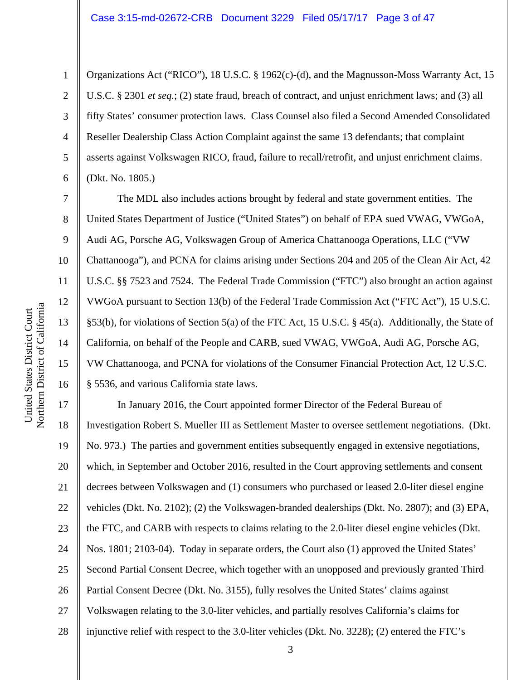Organizations Act ("RICO"), 18 U.S.C. § 1962(c)-(d), and the Magnusson-Moss Warranty Act, 15 U.S.C. § 2301 *et seq.*; (2) state fraud, breach of contract, and unjust enrichment laws; and (3) all fifty States' consumer protection laws. Class Counsel also filed a Second Amended Consolidated Reseller Dealership Class Action Complaint against the same 13 defendants; that complaint asserts against Volkswagen RICO, fraud, failure to recall/retrofit, and unjust enrichment claims. (Dkt. No. 1805.)

The MDL also includes actions brought by federal and state government entities. The United States Department of Justice ("United States") on behalf of EPA sued VWAG, VWGoA, Audi AG, Porsche AG, Volkswagen Group of America Chattanooga Operations, LLC ("VW Chattanooga"), and PCNA for claims arising under Sections 204 and 205 of the Clean Air Act, 42 U.S.C. §§ 7523 and 7524. The Federal Trade Commission ("FTC") also brought an action against VWGoA pursuant to Section 13(b) of the Federal Trade Commission Act ("FTC Act"), 15 U.S.C. §53(b), for violations of Section 5(a) of the FTC Act, 15 U.S.C. § 45(a). Additionally, the State of California, on behalf of the People and CARB, sued VWAG, VWGoA, Audi AG, Porsche AG, VW Chattanooga, and PCNA for violations of the Consumer Financial Protection Act, 12 U.S.C. § 5536, and various California state laws.

17 18 19 20 21 22 23 24 25 26 27 28 In January 2016, the Court appointed former Director of the Federal Bureau of Investigation Robert S. Mueller III as Settlement Master to oversee settlement negotiations. (Dkt. No. 973.) The parties and government entities subsequently engaged in extensive negotiations, which, in September and October 2016, resulted in the Court approving settlements and consent decrees between Volkswagen and (1) consumers who purchased or leased 2.0-liter diesel engine vehicles (Dkt. No. 2102); (2) the Volkswagen-branded dealerships (Dkt. No. 2807); and (3) EPA, the FTC, and CARB with respects to claims relating to the 2.0-liter diesel engine vehicles (Dkt. Nos. 1801; 2103-04). Today in separate orders, the Court also (1) approved the United States' Second Partial Consent Decree, which together with an unopposed and previously granted Third Partial Consent Decree (Dkt. No. 3155), fully resolves the United States' claims against Volkswagen relating to the 3.0-liter vehicles, and partially resolves California's claims for injunctive relief with respect to the 3.0-liter vehicles (Dkt. No. 3228); (2) entered the FTC's

1

2

3

4

5

6

7

8

9

10

11

12

13

14

15

16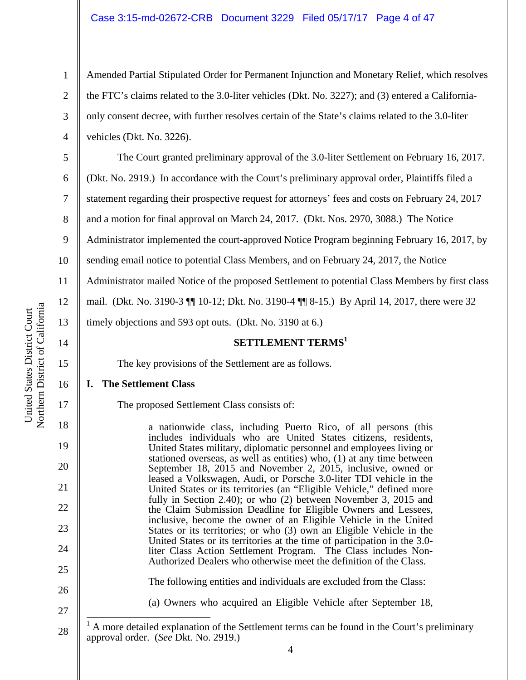Amended Partial Stipulated Order for Permanent Injunction and Monetary Relief, which resolves the FTC's claims related to the 3.0-liter vehicles (Dkt. No. 3227); and (3) entered a Californiaonly consent decree, with further resolves certain of the State's claims related to the 3.0-liter vehicles (Dkt. No. 3226).

The Court granted preliminary approval of the 3.0-liter Settlement on February 16, 2017.

(Dkt. No. 2919.) In accordance with the Court's preliminary approval order, Plaintiffs filed a

7 statement regarding their prospective request for attorneys' fees and costs on February 24, 2017

and a motion for final approval on March 24, 2017. (Dkt. Nos. 2970, 3088.) The Notice

9 Administrator implemented the court-approved Notice Program beginning February 16, 2017, by

10 sending email notice to potential Class Members, and on February 24, 2017, the Notice

11 Administrator mailed Notice of the proposed Settlement to potential Class Members by first class

12 mail. (Dkt. No. 3190-3 ¶¶ 10-12; Dkt. No. 3190-4 ¶¶ 8-15.) By April 14, 2017, there were 32

timely objections and 593 opt outs. (Dkt. No. 3190 at 6.)

#### **SETTLEMENT TERMS**<sup>1</sup>

The key provisions of the Settlement are as follows.

#### **I. The Settlement Class**

The proposed Settlement Class consists of:

a nationwide class, including Puerto Rico, of all persons (this includes individuals who are United States citizens, residents, United States military, diplomatic personnel and employees living or stationed overseas, as well as entities) who, (1) at any time between September 18, 2015 and November 2, 2015, inclusive, owned or leased a Volkswagen, Audi, or Porsche 3.0-liter TDI vehicle in the United States or its territories (an "Eligible Vehicle," defined more fully in Section 2.40); or who (2) between November 3, 2015 and the Claim Submission Deadline for Eligible Owners and Lessees, inclusive, become the owner of an Eligible Vehicle in the United States or its territories; or who (3) own an Eligible Vehicle in the United States or its territories at the time of participation in the 3.0 liter Class Action Settlement Program. The Class includes Non-Authorized Dealers who otherwise meet the definition of the Class.

The following entities and individuals are excluded from the Class:

(a) Owners who acquired an Eligible Vehicle after September 18,

1

2

3

4

5

6

8

13

14

15

16

17

18

19

20

21

22

23

24

25

26

<sup>28</sup>   $\overline{\phantom{a}}$ 1 A more detailed explanation of the Settlement terms can be found in the Court's preliminary approval order. (*See* Dkt. No. 2919.)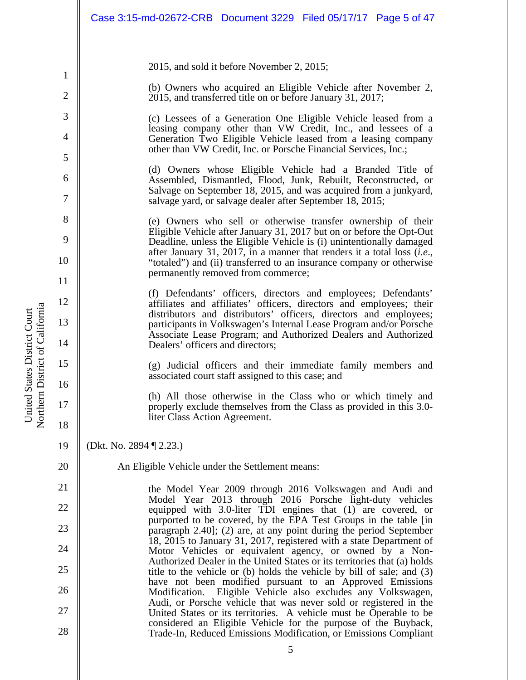|                | Case 3:15-md-02672-CRB  Document 3229  Filed 05/17/17  Page 5 of 47                                                                                                                                       |
|----------------|-----------------------------------------------------------------------------------------------------------------------------------------------------------------------------------------------------------|
|                |                                                                                                                                                                                                           |
| 1              | 2015, and sold it before November 2, 2015;                                                                                                                                                                |
| $\overline{2}$ | (b) Owners who acquired an Eligible Vehicle after November 2,<br>2015, and transferred title on or before January 31, 2017;                                                                               |
| 3<br>4         | (c) Lessees of a Generation One Eligible Vehicle leased from a<br>leasing company other than VW Credit, Inc., and lessees of a<br>Generation Two Eligible Vehicle leased from a leasing company           |
| 5              | other than VW Credit, Inc. or Porsche Financial Services, Inc.;                                                                                                                                           |
| 6<br>7         | (d) Owners whose Eligible Vehicle had a Branded Title of<br>Assembled, Dismantled, Flood, Junk, Rebuilt, Reconstructed, or<br>Salvage on September 18, 2015, and was acquired from a junkyard,            |
| 8              | salvage yard, or salvage dealer after September 18, 2015;<br>(e) Owners who sell or otherwise transfer ownership of their                                                                                 |
| 9              | Eligible Vehicle after January 31, 2017 but on or before the Opt-Out<br>Deadline, unless the Eligible Vehicle is (i) unintentionally damaged                                                              |
| 10             | after January 31, 2017, in a manner that renders it a total loss $(i.e.,$<br>"totaled") and (ii) transferred to an insurance company or otherwise                                                         |
| 11             | permanently removed from commerce;                                                                                                                                                                        |
| 12             | (f) Defendants' officers, directors and employees; Defendants'<br>affiliates and affiliates' officers, directors and employees; their                                                                     |
| 13             | distributors and distributors' officers, directors and employees;<br>participants in Volkswagen's Internal Lease Program and/or Porsche<br>Associate Lease Program; and Authorized Dealers and Authorized |
| 14             | Dealers' officers and directors;                                                                                                                                                                          |
| 15<br>16       | (g) Judicial officers and their immediate family members and<br>associated court staff assigned to this case; and                                                                                         |
| 17             | (h) All those otherwise in the Class who or which timely and<br>properly exclude themselves from the Class as provided in this 3.0-<br>liter Class Action Agreement.                                      |
| 18<br>19       | (Dkt. No. 2894 ¶ 2.23.)                                                                                                                                                                                   |
| 20             | An Eligible Vehicle under the Settlement means:                                                                                                                                                           |
| 21             | the Model Year 2009 through 2016 Volkswagen and Audi and                                                                                                                                                  |
| 22             | Model Year 2013 through 2016 Porsche light-duty vehicles<br>equipped with 3.0-liter TDI engines that (1) are covered, or                                                                                  |
| 23             | purported to be covered, by the EPA Test Groups in the table [in<br>paragraph $2.40$ ]; (2) are, at any point during the period September                                                                 |
| 24             | 18, 2015 to January 31, 2017, registered with a state Department of<br>Motor Vehicles or equivalent agency, or owned by a Non-                                                                            |
| 25             | Authorized Dealer in the United States or its territories that (a) holds<br>title to the vehicle or (b) holds the vehicle by bill of sale; and (3)                                                        |
| 26             | have not been modified pursuant to an Approved Emissions<br>Eligible Vehicle also excludes any Volkswagen,<br>Modification.                                                                               |
| 27             | Audi, or Porsche vehicle that was never sold or registered in the<br>United States or its territories. A vehicle must be Operable to be<br>considered an Eligible Vehicle for the purpose of the Buyback, |
| 28             | Trade-In, Reduced Emissions Modification, or Emissions Compliant                                                                                                                                          |
|                | 5                                                                                                                                                                                                         |

United States District Court Northern District of Californi a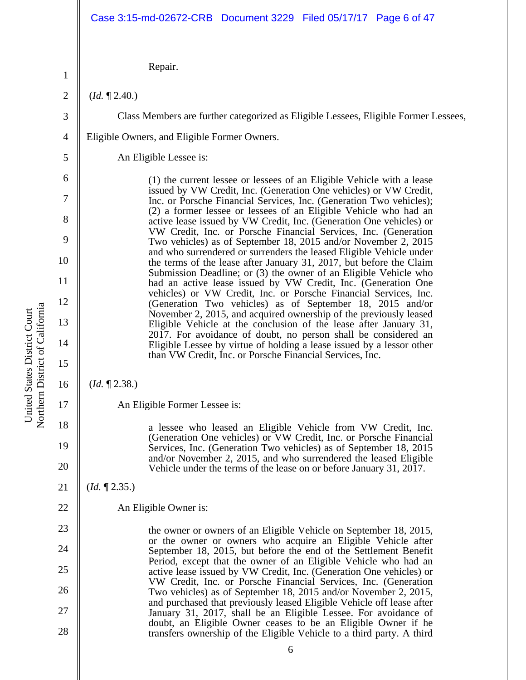#### Repair.

(*Id.* ¶ 2.40.)

1

2

3

4

5

6

7

8

9

10

11

12

13

14

15

16

17

18

19

20

21

22

23

24

25

26

27

28

Class Members are further categorized as Eligible Lessees, Eligible Former Lessees,

Eligible Owners, and Eligible Former Owners.

An Eligible Lessee is:

(1) the current lessee or lessees of an Eligible Vehicle with a lease issued by VW Credit, Inc. (Generation One vehicles) or VW Credit, Inc. or Porsche Financial Services, Inc. (Generation Two vehicles); (2) a former lessee or lessees of an Eligible Vehicle who had an active lease issued by VW Credit, Inc. (Generation One vehicles) or VW Credit, Inc. or Porsche Financial Services, Inc. (Generation Two vehicles) as of September 18, 2015 and/or November 2, 2015 and who surrendered or surrenders the leased Eligible Vehicle under the terms of the lease after January 31, 2017, but before the Claim Submission Deadline; or (3) the owner of an Eligible Vehicle who had an active lease issued by VW Credit, Inc. (Generation One vehicles) or VW Credit, Inc. or Porsche Financial Services, Inc. (Generation Two vehicles) as of September 18, 2015 and/or November 2, 2015, and acquired ownership of the previously leased Eligible Vehicle at the conclusion of the lease after January 31, 2017. For avoidance of doubt, no person shall be considered an Eligible Lessee by virtue of holding a lease issued by a lessor other than VW Credit, Inc. or Porsche Financial Services, Inc.

#### (*Id.* ¶ 2.38.)

An Eligible Former Lessee is:

a lessee who leased an Eligible Vehicle from VW Credit, Inc. (Generation One vehicles) or VW Credit, Inc. or Porsche Financial Services, Inc. (Generation Two vehicles) as of September 18, 2015 and/or November 2, 2015, and who surrendered the leased Eligible Vehicle under the terms of the lease on or before January 31, 2017.

(*Id.* ¶ 2.35.)

An Eligible Owner is:

the owner or owners of an Eligible Vehicle on September 18, 2015, or the owner or owners who acquire an Eligible Vehicle after September 18, 2015, but before the end of the Settlement Benefit Period, except that the owner of an Eligible Vehicle who had an active lease issued by VW Credit, Inc. (Generation One vehicles) or VW Credit, Inc. or Porsche Financial Services, Inc. (Generation Two vehicles) as of September 18, 2015 and/or November 2, 2015, and purchased that previously leased Eligible Vehicle off lease after January 31, 2017, shall be an Eligible Lessee. For avoidance of doubt, an Eligible Owner ceases to be an Eligible Owner if he transfers ownership of the Eligible Vehicle to a third party. A third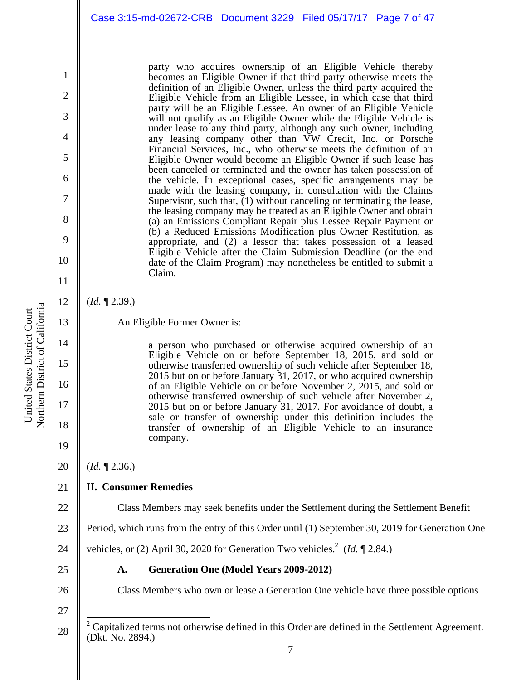party who acquires ownership of an Eligible Vehicle thereby becomes an Eligible Owner if that third party otherwise meets the definition of an Eligible Owner, unless the third party acquired the Eligible Vehicle from an Eligible Lessee, in which case that third party will be an Eligible Lessee. An owner of an Eligible Vehicle will not qualify as an Eligible Owner while the Eligible Vehicle is under lease to any third party, although any such owner, including any leasing company other than VW Credit, Inc. or Porsche Financial Services, Inc., who otherwise meets the definition of an Eligible Owner would become an Eligible Owner if such lease has been canceled or terminated and the owner has taken possession of the vehicle. In exceptional cases, specific arrangements may be made with the leasing company, in consultation with the Claims Supervisor, such that,  $(1)$  without canceling or terminating the lease, the leasing company may be treated as an Eligible Owner and obtain (a) an Emissions Compliant Repair plus Lessee Repair Payment or (b) a Reduced Emissions Modification plus Owner Restitution, as appropriate, and (2) a lessor that takes possession of a leased Eligible Vehicle after the Claim Submission Deadline (or the end date of the Claim Program) may nonetheless be entitled to submit a Claim.

(*Id.* ¶ 2.39.)

1

2

3

4

5

6

7

8

9

10

11

12

13

14

15

16

17

18

19

22

An Eligible Former Owner is:

a person who purchased or otherwise acquired ownership of an Eligible Vehicle on or before September 18, 2015, and sold or otherwise transferred ownership of such vehicle after September 18, 2015 but on or before January 31, 2017, or who acquired ownership of an Eligible Vehicle on or before November 2, 2015, and sold or otherwise transferred ownership of such vehicle after November 2, 2015 but on or before January 31, 2017. For avoidance of doubt, a sale or transfer of ownership under this definition includes the transfer of ownership of an Eligible Vehicle to an insurance company.

- a United States District Court United States District Court Northern District of Californi
- 20 (*Id.* ¶ 2.36.)
- 21 **II. Consumer Remedies** 
	- Class Members may seek benefits under the Settlement during the Settlement Benefit
- 23 Period, which runs from the entry of this Order until (1) September 30, 2019 for Generation One

24 vehicles, or (2) April 30, 2020 for Generation Two vehicles.<sup>2</sup> (*Id.*  $\P$  2.84.)

**A. Generation One (Model Years 2009-2012)** 

- 25
- 26

Class Members who own or lease a Generation One vehicle have three possible options

27 28

 $\overline{\phantom{a}}$ 

 $2^2$  Capitalized terms not otherwise defined in this Order are defined in the Settlement Agreement. (Dkt. No. 2894.)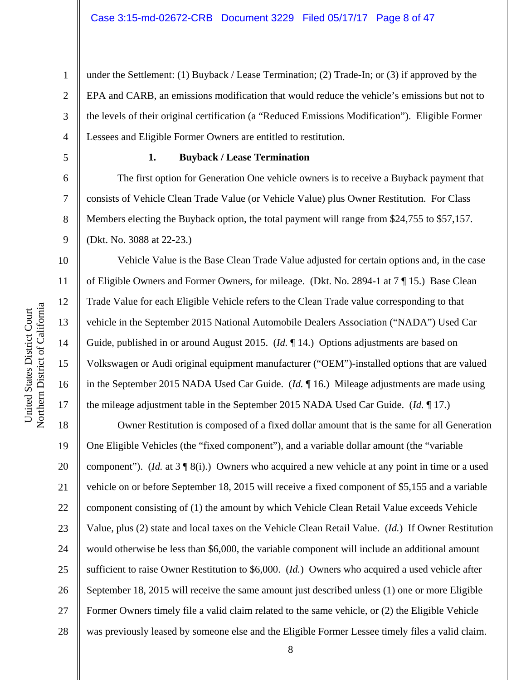2 3 4 under the Settlement: (1) Buyback / Lease Termination; (2) Trade-In; or (3) if approved by the EPA and CARB, an emissions modification that would reduce the vehicle's emissions but not to the levels of their original certification (a "Reduced Emissions Modification"). Eligible Former Lessees and Eligible Former Owners are entitled to restitution.

5

6

7

8

9

10

11

12

13

14

15

16

17

1

#### **1. Buyback / Lease Termination**

The first option for Generation One vehicle owners is to receive a Buyback payment that consists of Vehicle Clean Trade Value (or Vehicle Value) plus Owner Restitution. For Class Members electing the Buyback option, the total payment will range from \$24,755 to \$57,157. (Dkt. No. 3088 at 22-23.)

Vehicle Value is the Base Clean Trade Value adjusted for certain options and, in the case of Eligible Owners and Former Owners, for mileage. (Dkt. No. 2894-1 at 7 ¶ 15.) Base Clean Trade Value for each Eligible Vehicle refers to the Clean Trade value corresponding to that vehicle in the September 2015 National Automobile Dealers Association ("NADA") Used Car Guide, published in or around August 2015. (*Id.* ¶ 14.) Options adjustments are based on Volkswagen or Audi original equipment manufacturer ("OEM")-installed options that are valued in the September 2015 NADA Used Car Guide. (*Id.* ¶ 16.) Mileage adjustments are made using the mileage adjustment table in the September 2015 NADA Used Car Guide. (*Id.* ¶ 17.)

18 19 20 21 22 23 24 25 26 27 28 Owner Restitution is composed of a fixed dollar amount that is the same for all Generation One Eligible Vehicles (the "fixed component"), and a variable dollar amount (the "variable component"). (*Id.* at 3 ¶ 8(i).) Owners who acquired a new vehicle at any point in time or a used vehicle on or before September 18, 2015 will receive a fixed component of \$5,155 and a variable component consisting of (1) the amount by which Vehicle Clean Retail Value exceeds Vehicle Value, plus (2) state and local taxes on the Vehicle Clean Retail Value. (*Id.*) If Owner Restitution would otherwise be less than \$6,000, the variable component will include an additional amount sufficient to raise Owner Restitution to \$6,000. (*Id.*) Owners who acquired a used vehicle after September 18, 2015 will receive the same amount just described unless (1) one or more Eligible Former Owners timely file a valid claim related to the same vehicle, or (2) the Eligible Vehicle was previously leased by someone else and the Eligible Former Lessee timely files a valid claim.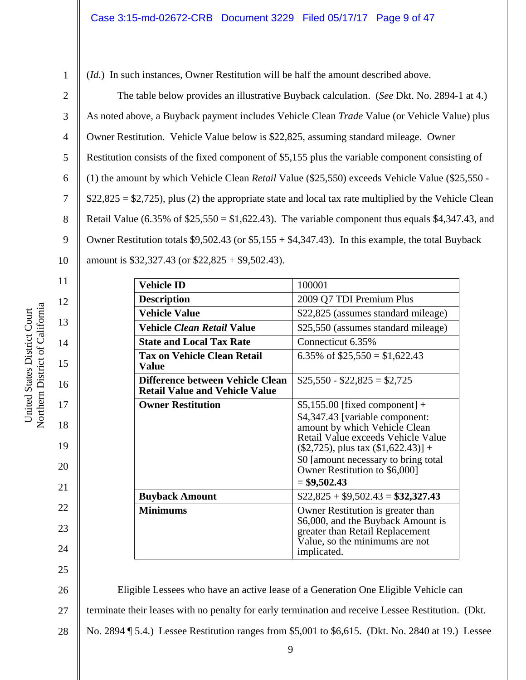1 2 3

4

5

6

7

8

9

10

11

12

13

14

15

16

17

18

19

20

21

22

23

24

25

(*Id.*) In such instances, Owner Restitution will be half the amount described above.

The table below provides an illustrative Buyback calculation. (*See* Dkt. No. 2894-1 at 4.) As noted above, a Buyback payment includes Vehicle Clean *Trade* Value (or Vehicle Value) plus Owner Restitution. Vehicle Value below is \$22,825, assuming standard mileage. Owner Restitution consists of the fixed component of \$5,155 plus the variable component consisting of (1) the amount by which Vehicle Clean *Retail* Value (\$25,550) exceeds Vehicle Value (\$25,550 -  $$22,825 = $2,725$ , plus (2) the appropriate state and local tax rate multiplied by the Vehicle Clean Retail Value (6.35% of  $$25,550 = $1,622.43$ ). The variable component thus equals  $$4,347.43$ , and Owner Restitution totals \$9,502.43 (or \$5,155 + \$4,347.43). In this example, the total Buyback amount is \$32,327.43 (or \$22,825 + \$9,502.43).

> **Vehicle ID** 100001 **Description** 2009 Q7 TDI Premium Plus **Vehicle Value 822,825** (assumes standard mileage) **Vehicle** *Clean Retail* **Value** \$25,550 (assumes standard mileage) **State and Local Tax Rate** | Connecticut 6.35% **Tax on Vehicle Clean Retail Value**  6.35% of  $$25,550 = $1,622.43$ **Difference between Vehicle Clean Retail Value and Vehicle Value**   $$25,550 - $22,825 = $2,725$ **Owner Restitution**  $\begin{bmatrix} $5,155.00 \text{ [fixed component]} + \end{bmatrix}$ \$4,347.43 [variable component: amount by which Vehicle Clean Retail Value exceeds Vehicle Value  $($2,725)$ , plus tax  $($1,622.43)] +$ \$0 [amount necessary to bring total Owner Restitution to \$6,000] = **\$9,502.43 Buyback Amount** \$22,825 + \$9,502.43 = **\$32,327.43 Minimums**  $\vert$  Owner Restitution is greater than \$6,000, and the Buyback Amount is greater than Retail Replacement Value, so the minimums are not implicated.

a United States District Court Northern District of Californi United States District Court

26 27 28 Eligible Lessees who have an active lease of a Generation One Eligible Vehicle can terminate their leases with no penalty for early termination and receive Lessee Restitution. (Dkt. No. 2894 ¶ 5.4.) Lessee Restitution ranges from \$5,001 to \$6,615. (Dkt. No. 2840 at 19.) Lessee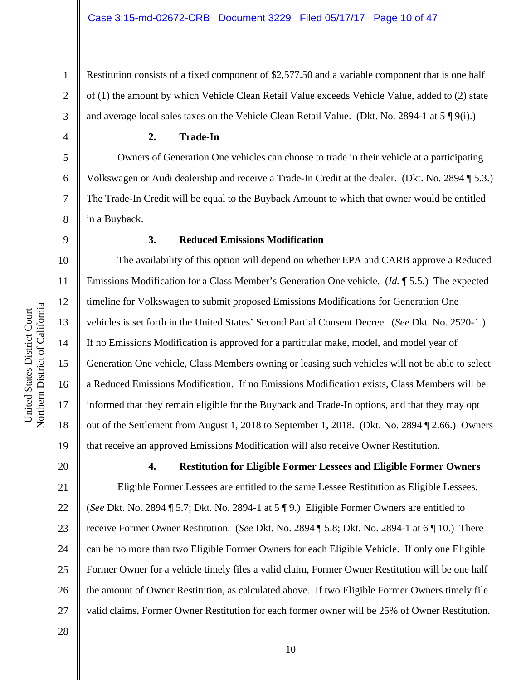Restitution consists of a fixed component of \$2,577.50 and a variable component that is one half of (1) the amount by which Vehicle Clean Retail Value exceeds Vehicle Value, added to (2) state and average local sales taxes on the Vehicle Clean Retail Value. (Dkt. No. 2894-1 at  $5 \sqrt{\frac{9}{i}}$ ).)

**2. Trade-In** 

Owners of Generation One vehicles can choose to trade in their vehicle at a participating Volkswagen or Audi dealership and receive a Trade-In Credit at the dealer. (Dkt. No. 2894 ¶ 5.3.) The Trade-In Credit will be equal to the Buyback Amount to which that owner would be entitled in a Buyback.

1

2

3

4

5

6

7

8

9

10

11

12

a

13

14

15

16

17

18

19

#### **3. Reduced Emissions Modification**

The availability of this option will depend on whether EPA and CARB approve a Reduced Emissions Modification for a Class Member's Generation One vehicle. (*Id.* ¶ 5.5.) The expected timeline for Volkswagen to submit proposed Emissions Modifications for Generation One vehicles is set forth in the United States' Second Partial Consent Decree. (*See* Dkt. No. 2520-1.) If no Emissions Modification is approved for a particular make, model, and model year of Generation One vehicle, Class Members owning or leasing such vehicles will not be able to select a Reduced Emissions Modification. If no Emissions Modification exists, Class Members will be informed that they remain eligible for the Buyback and Trade-In options, and that they may opt out of the Settlement from August 1, 2018 to September 1, 2018. (Dkt. No. 2894 ¶ 2.66.) Owners that receive an approved Emissions Modification will also receive Owner Restitution.

**4. Restitution for Eligible Former Lessees and Eligible Former Owners**  Eligible Former Lessees are entitled to the same Lessee Restitution as Eligible Lessees. (*See* Dkt. No. 2894 ¶ 5.7; Dkt. No. 2894-1 at 5 ¶ 9.) Eligible Former Owners are entitled to receive Former Owner Restitution. (*See* Dkt. No. 2894 ¶ 5.8; Dkt. No. 2894-1 at 6 ¶ 10.) There can be no more than two Eligible Former Owners for each Eligible Vehicle. If only one Eligible Former Owner for a vehicle timely files a valid claim, Former Owner Restitution will be one half the amount of Owner Restitution, as calculated above. If two Eligible Former Owners timely file valid claims, Former Owner Restitution for each former owner will be 25% of Owner Restitution.

28

26

27

United States District Court United States District Court Northern District of Californi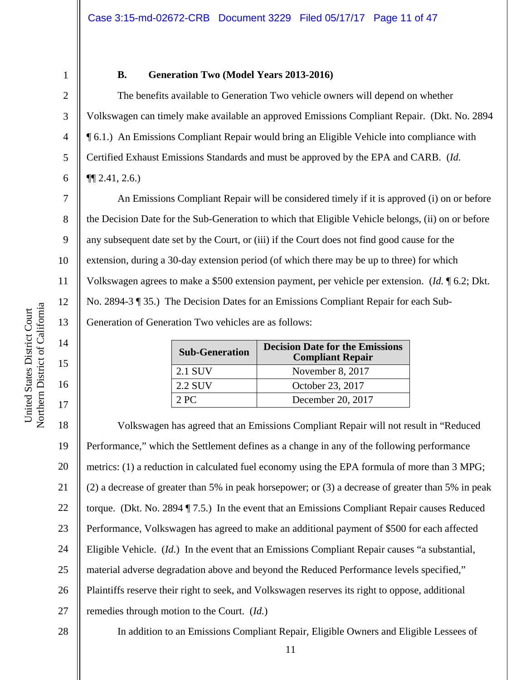8

9

10

11

12

13

14

15

16

17

1

#### **B. Generation Two (Model Years 2013-2016)**

The benefits available to Generation Two vehicle owners will depend on whether Volkswagen can timely make available an approved Emissions Compliant Repair. (Dkt. No. 2894 ¶ 6.1.) An Emissions Compliant Repair would bring an Eligible Vehicle into compliance with Certified Exhaust Emissions Standards and must be approved by the EPA and CARB. (*Id.* ¶¶ 2.41, 2.6.)

An Emissions Compliant Repair will be considered timely if it is approved (i) on or before the Decision Date for the Sub-Generation to which that Eligible Vehicle belongs, (ii) on or before any subsequent date set by the Court, or (iii) if the Court does not find good cause for the extension, during a 30-day extension period (of which there may be up to three) for which Volkswagen agrees to make a \$500 extension payment, per vehicle per extension. (*Id.* ¶ 6.2; Dkt. No. 2894-3 ¶ 35.) The Decision Dates for an Emissions Compliant Repair for each Sub-Generation of Generation Two vehicles are as follows:

| <b>Sub-Generation</b> | <b>Decision Date for the Emissions</b><br><b>Compliant Repair</b> |  |
|-----------------------|-------------------------------------------------------------------|--|
| 2.1 SUV               | November 8, 2017                                                  |  |
| 2.2 SUV               | October 23, 2017                                                  |  |
| 2PC                   | December 20, 2017                                                 |  |

18 19 20 21 22 23 24 25 26 27 28 Volkswagen has agreed that an Emissions Compliant Repair will not result in "Reduced Performance," which the Settlement defines as a change in any of the following performance metrics: (1) a reduction in calculated fuel economy using the EPA formula of more than 3 MPG; (2) a decrease of greater than 5% in peak horsepower; or (3) a decrease of greater than 5% in peak torque. (Dkt. No. 2894 ¶ 7.5.) In the event that an Emissions Compliant Repair causes Reduced Performance, Volkswagen has agreed to make an additional payment of \$500 for each affected Eligible Vehicle. (*Id.*) In the event that an Emissions Compliant Repair causes "a substantial, material adverse degradation above and beyond the Reduced Performance levels specified," Plaintiffs reserve their right to seek, and Volkswagen reserves its right to oppose, additional remedies through motion to the Court. (*Id.*) In addition to an Emissions Compliant Repair, Eligible Owners and Eligible Lessees of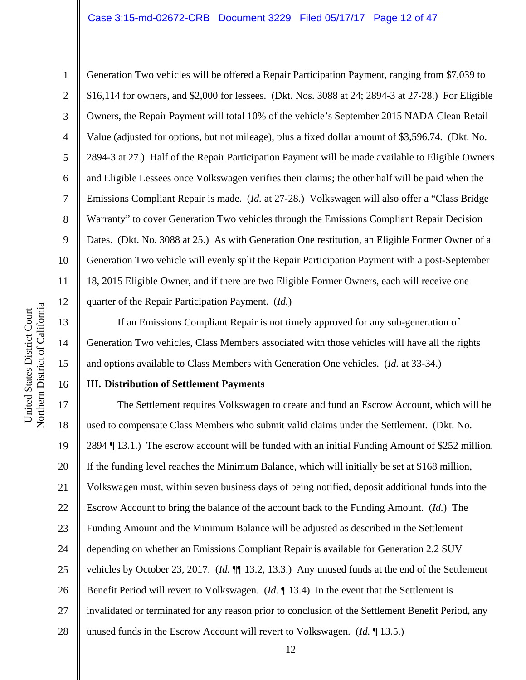#### Case 3:15-md-02672-CRB Document 3229 Filed 05/17/17 Page 12 of 47

1

2

3

4

5

6

7

8

9

10

11

12

13

14

15

16

Generation Two vehicles will be offered a Repair Participation Payment, ranging from \$7,039 to \$16,114 for owners, and \$2,000 for lessees. (Dkt. Nos. 3088 at 24; 2894-3 at 27-28.) For Eligible Owners, the Repair Payment will total 10% of the vehicle's September 2015 NADA Clean Retail Value (adjusted for options, but not mileage), plus a fixed dollar amount of \$3,596.74. (Dkt. No. 2894-3 at 27.) Half of the Repair Participation Payment will be made available to Eligible Owners and Eligible Lessees once Volkswagen verifies their claims; the other half will be paid when the Emissions Compliant Repair is made. (*Id.* at 27-28.) Volkswagen will also offer a "Class Bridge Warranty" to cover Generation Two vehicles through the Emissions Compliant Repair Decision Dates. (Dkt. No. 3088 at 25.) As with Generation One restitution, an Eligible Former Owner of a Generation Two vehicle will evenly split the Repair Participation Payment with a post-September 18, 2015 Eligible Owner, and if there are two Eligible Former Owners, each will receive one quarter of the Repair Participation Payment. (*Id.*)

If an Emissions Compliant Repair is not timely approved for any sub-generation of Generation Two vehicles, Class Members associated with those vehicles will have all the rights and options available to Class Members with Generation One vehicles. (*Id.* at 33-34.)

#### **III. Distribution of Settlement Payments**

17 18 19 20 21 22 23 24 25 26 27 28 The Settlement requires Volkswagen to create and fund an Escrow Account, which will be used to compensate Class Members who submit valid claims under the Settlement. (Dkt. No. 2894 ¶ 13.1.) The escrow account will be funded with an initial Funding Amount of \$252 million. If the funding level reaches the Minimum Balance, which will initially be set at \$168 million, Volkswagen must, within seven business days of being notified, deposit additional funds into the Escrow Account to bring the balance of the account back to the Funding Amount. (*Id.*) The Funding Amount and the Minimum Balance will be adjusted as described in the Settlement depending on whether an Emissions Compliant Repair is available for Generation 2.2 SUV vehicles by October 23, 2017. (*Id.* ¶¶ 13.2, 13.3.) Any unused funds at the end of the Settlement Benefit Period will revert to Volkswagen. (*Id.* ¶ 13.4) In the event that the Settlement is invalidated or terminated for any reason prior to conclusion of the Settlement Benefit Period, any unused funds in the Escrow Account will revert to Volkswagen. (*Id.* ¶ 13.5.)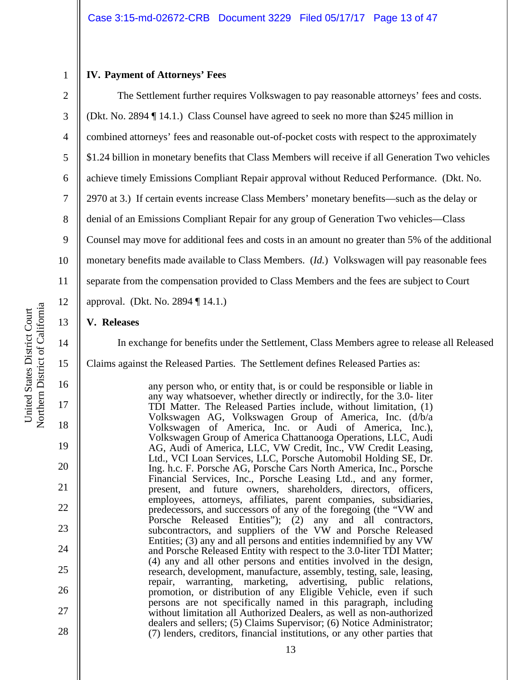#### **IV. Payment of Attorneys' Fees**

1

2

3

4 5 6 7 8 9 10 11 12 The Settlement further requires Volkswagen to pay reasonable attorneys' fees and costs. (Dkt. No. 2894 ¶ 14.1.) Class Counsel have agreed to seek no more than \$245 million in combined attorneys' fees and reasonable out-of-pocket costs with respect to the approximately \$1.24 billion in monetary benefits that Class Members will receive if all Generation Two vehicles achieve timely Emissions Compliant Repair approval without Reduced Performance. (Dkt. No. 2970 at 3.) If certain events increase Class Members' monetary benefits—such as the delay or denial of an Emissions Compliant Repair for any group of Generation Two vehicles—Class Counsel may move for additional fees and costs in an amount no greater than 5% of the additional monetary benefits made available to Class Members. (*Id.*) Volkswagen will pay reasonable fees separate from the compensation provided to Class Members and the fees are subject to Court approval. (Dkt. No. 2894 ¶ 14.1.)

#### **V. Releases**

In exchange for benefits under the Settlement, Class Members agree to release all Released

Claims against the Released Parties. The Settlement defines Released Parties as:

any person who, or entity that, is or could be responsible or liable in any way whatsoever, whether directly or indirectly, for the 3.0- liter TDI Matter. The Released Parties include, without limitation, (1) Volkswagen AG, Volkswagen Group of America, Inc. (d/b/a Volkswagen of America, Inc. or Audi of America, Inc.), Volkswagen Group of America Chattanooga Operations, LLC, Audi AG, Audi of America, LLC, VW Credit, Inc., VW Credit Leasing, Ltd., VCI Loan Services, LLC, Porsche Automobil Holding SE, Dr. Ing. h.c. F. Porsche AG, Porsche Cars North America, Inc., Porsche Financial Services, Inc., Porsche Leasing Ltd., and any former, present, and future owners, shareholders, directors, officers, employees, attorneys, affiliates, parent companies, subsidiaries, predecessors, and successors of any of the foregoing (the "VW and Porsche Released Entities"); (2) any and all contractors, subcontractors, and suppliers of the VW and Porsche Released Entities; (3) any and all persons and entities indemnified by any VW and Porsche Released Entity with respect to the 3.0-liter TDI Matter; (4) any and all other persons and entities involved in the design, research, development, manufacture, assembly, testing, sale, leasing, repair, warranting, marketing, advertising, public relations, promotion, or distribution of any Eligible Vehicle, even if such persons are not specifically named in this paragraph, including without limitation all Authorized Dealers, as well as non-authorized dealers and sellers; (5) Claims Supervisor; (6) Notice Administrator; (7) lenders, creditors, financial institutions, or any other parties that

13

14

15

16

17

18

19

20

21

22

23

24

25

26

27

28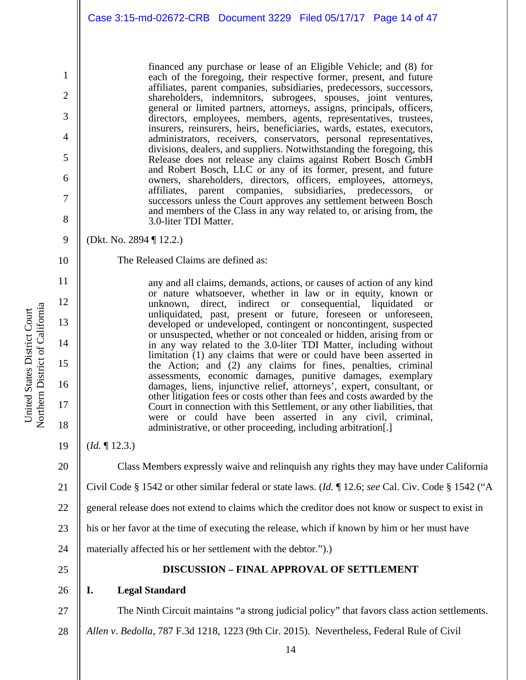financed any purchase or lease of an Eligible Vehicle; and (8) for each of the foregoing, their respective former, present, and future affiliates, parent companies, subsidiaries, predecessors, successors, shareholders, indemnitors, subrogees, spouses, joint ventures, general or limited partners, attorneys, assigns, principals, officers, directors, employees, members, agents, representatives, trustees, insurers, reinsurers, heirs, beneficiaries, wards, estates, executors, administrators, receivers, conservators, personal representatives, divisions, dealers, and suppliers. Notwithstanding the foregoing, this Release does not release any claims against Robert Bosch GmbH and Robert Bosch, LLC or any of its former, present, and future owners, shareholders, directors, officers, employees, attorneys, affiliates, parent companies, subsidiaries, predecessors, or successors unless the Court approves any settlement between Bosch and members of the Class in any way related to, or arising from, the 3.0-liter TDI Matter.

- (Dkt. No. 2894 ¶ 12.2.)
	- The Released Claims are defined as:

any and all claims, demands, actions, or causes of action of any kind or nature whatsoever, whether in law or in equity, known or unknown, direct, indirect or consequential, liquidated or unliquidated, past, present or future, foreseen or unforeseen, developed or undeveloped, contingent or noncontingent, suspected or unsuspected, whether or not concealed or hidden, arising from or in any way related to the 3.0-liter TDI Matter, including without limitation (1) any claims that were or could have been asserted in the Action; and (2) any claims for fines, penalties, criminal assessments, economic damages, punitive damages, exemplary damages, liens, injunctive relief, attorneys', expert, consultant, or other litigation fees or costs other than fees and costs awarded by the Court in connection with this Settlement, or any other liabilities, that were or could have been asserted in any civil, criminal, administrative, or other proceeding, including arbitration[.]

- (*Id.* ¶ 12.3.)
	- Class Members expressly waive and relinquish any rights they may have under California
- 21 Civil Code § 1542 or other similar federal or state laws. (*Id.* ¶ 12.6; *see* Cal. Civ. Code § 1542 ("A
- 22 general release does not extend to claims which the creditor does not know or suspect to exist in
- 23 his or her favor at the time of executing the release, which if known by him or her must have
- 24 materially affected his or her settlement with the debtor.").)
- 25

27

#### **DISCUSSION – FINAL APPROVAL OF SETTLEMENT**

- 26 **I. Legal Standard** 
	- The Ninth Circuit maintains "a strong judicial policy" that favors class action settlements.
- 28 *Allen v. Bedolla*, 787 F.3d 1218, 1223 (9th Cir. 2015). Nevertheless, Federal Rule of Civil

1

2

3

4

5

6

7

8

9

10

11

12

13

14

15

16

17

18

19

20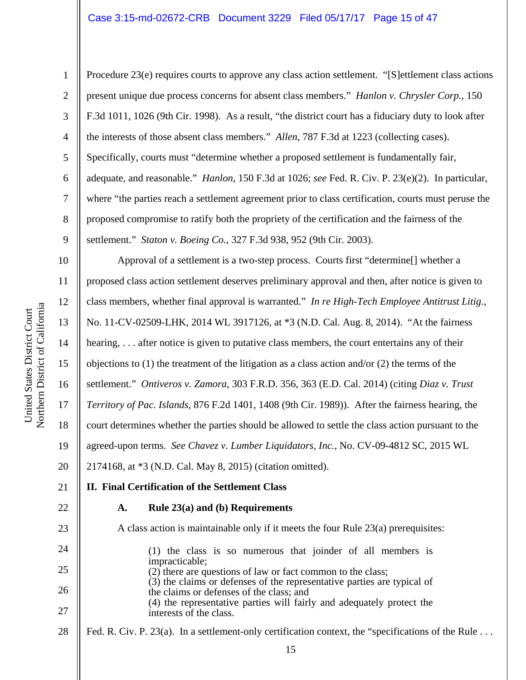#### Case 3:15-md-02672-CRB Document 3229 Filed 05/17/17 Page 15 of 47

United States District Court

United States District Court

1

2

3

4

5

6

7

8

9

Procedure 23(e) requires courts to approve any class action settlement. "[S]ettlement class actions present unique due process concerns for absent class members." *Hanlon v. Chrysler Corp.*, 150 F.3d 1011, 1026 (9th Cir. 1998). As a result, "the district court has a fiduciary duty to look after the interests of those absent class members." *Allen*, 787 F.3d at 1223 (collecting cases). Specifically, courts must "determine whether a proposed settlement is fundamentally fair, adequate, and reasonable." *Hanlon*, 150 F.3d at 1026; *see* Fed. R. Civ. P. 23(e)(2). In particular, where "the parties reach a settlement agreement prior to class certification, courts must peruse the proposed compromise to ratify both the propriety of the certification and the fairness of the settlement." *Staton v. Boeing Co.*, 327 F.3d 938, 952 (9th Cir. 2003).

10 11 12 13 14 15 16 17 18 19 20 Approval of a settlement is a two-step process. Courts first "determine[] whether a proposed class action settlement deserves preliminary approval and then, after notice is given to class members, whether final approval is warranted." *In re High-Tech Employee Antitrust Litig.*, No. 11-CV-02509-LHK, 2014 WL 3917126, at \*3 (N.D. Cal. Aug. 8, 2014). "At the fairness hearing, ... after notice is given to putative class members, the court entertains any of their objections to (1) the treatment of the litigation as a class action and/or (2) the terms of the settlement." *Ontiveros v. Zamora*, 303 F.R.D. 356, 363 (E.D. Cal. 2014) (citing *Diaz v. Trust Territory of Pac. Islands*, 876 F.2d 1401, 1408 (9th Cir. 1989)). After the fairness hearing, the court determines whether the parties should be allowed to settle the class action pursuant to the agreed-upon terms. *See Chavez v. Lumber Liquidators, Inc.*, No. CV-09-4812 SC, 2015 WL 2174168, at \*3 (N.D. Cal. May 8, 2015) (citation omitted).

### 21 22

23

### **A. Rule 23(a) and (b) Requirements**

**II. Final Certification of the Settlement Class** 

A class action is maintainable only if it meets the four Rule 23(a) prerequisites:

24 25 26 27 (1) the class is so numerous that joinder of all members is impracticable; (2) there are questions of law or fact common to the class; (3) the claims or defenses of the representative parties are typical of the claims or defenses of the class; and (4) the representative parties will fairly and adequately protect the interests of the class.

28 Fed. R. Civ. P. 23(a). In a settlement-only certification context, the "specifications of the Rule . . .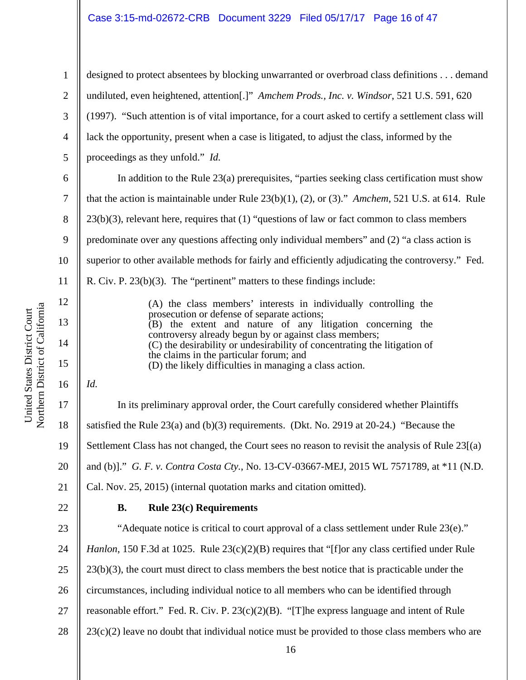#### Case 3:15-md-02672-CRB Document 3229 Filed 05/17/17 Page 16 of 47

2 3 4 5 designed to protect absentees by blocking unwarranted or overbroad class definitions . . . demand undiluted, even heightened, attention[.]" *Amchem Prods., Inc. v. Windsor*, 521 U.S. 591, 620 (1997). "Such attention is of vital importance, for a court asked to certify a settlement class will lack the opportunity, present when a case is litigated, to adjust the class, informed by the proceedings as they unfold." *Id.* 

In addition to the Rule 23(a) prerequisites, "parties seeking class certification must show that the action is maintainable under Rule 23(b)(1), (2), or (3)." *Amchem*, 521 U.S. at 614. Rule 23(b)(3), relevant here, requires that (1) "questions of law or fact common to class members predominate over any questions affecting only individual members" and (2) "a class action is superior to other available methods for fairly and efficiently adjudicating the controversy." Fed. R. Civ. P. 23(b)(3). The "pertinent" matters to these findings include: (A) the class members' interests in individually controlling the

| (A) the class members' interests in individually controlling the          |  |  |
|---------------------------------------------------------------------------|--|--|
| prosecution or defense of separate actions;                               |  |  |
| (B) the extent and nature of any litigation concerning the                |  |  |
| controversy already begun by or against class members;                    |  |  |
| (C) the desirability or undesirability of concentrating the litigation of |  |  |
| the claims in the particular forum; and                                   |  |  |
| (D) the likely difficulties in managing a class action.                   |  |  |
|                                                                           |  |  |

*Id.* 

1

6

7

8

9

10

11

12

13

14

15

16

17 18 19 20 21 In its preliminary approval order, the Court carefully considered whether Plaintiffs satisfied the Rule 23(a) and (b)(3) requirements. (Dkt. No. 2919 at 20-24.) "Because the Settlement Class has not changed, the Court sees no reason to revisit the analysis of Rule 23[(a) and (b)]." *G. F. v. Contra Costa Cty.*, No. 13-CV-03667-MEJ, 2015 WL 7571789, at \*11 (N.D. Cal. Nov. 25, 2015) (internal quotation marks and citation omitted).

22

#### **B. Rule 23(c) Requirements**

23 24 25 26 27 28 "Adequate notice is critical to court approval of a class settlement under Rule 23(e)." *Hanlon*, 150 F.3d at 1025. Rule 23(c)(2)(B) requires that "[f]or any class certified under Rule 23(b)(3), the court must direct to class members the best notice that is practicable under the circumstances, including individual notice to all members who can be identified through reasonable effort." Fed. R. Civ. P. 23(c)(2)(B). "[T]he express language and intent of Rule  $23(c)(2)$  leave no doubt that individual notice must be provided to those class members who are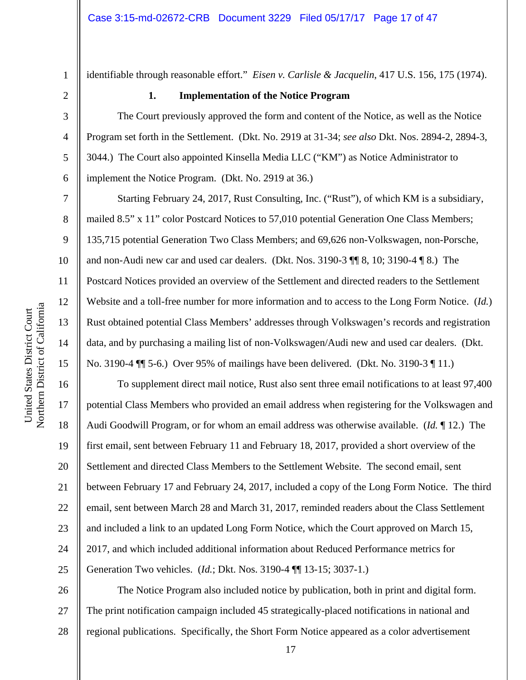10

11

12

13

14

15

17

18

19

21

22

23

24

25

1

identifiable through reasonable effort." *Eisen v. Carlisle & Jacquelin*, 417 U.S. 156, 175 (1974).

#### **1. Implementation of the Notice Program**

The Court previously approved the form and content of the Notice, as well as the Notice Program set forth in the Settlement. (Dkt. No. 2919 at 31-34; *see also* Dkt. Nos. 2894-2, 2894-3, 3044.) The Court also appointed Kinsella Media LLC ("KM") as Notice Administrator to implement the Notice Program. (Dkt. No. 2919 at 36.)

Starting February 24, 2017, Rust Consulting, Inc. ("Rust"), of which KM is a subsidiary, mailed 8.5" x 11" color Postcard Notices to 57,010 potential Generation One Class Members; 135,715 potential Generation Two Class Members; and 69,626 non-Volkswagen, non-Porsche, and non-Audi new car and used car dealers. (Dkt. Nos. 3190-3 ¶¶ 8, 10; 3190-4 ¶ 8.) The Postcard Notices provided an overview of the Settlement and directed readers to the Settlement Website and a toll-free number for more information and to access to the Long Form Notice. (*Id.*) Rust obtained potential Class Members' addresses through Volkswagen's records and registration data, and by purchasing a mailing list of non-Volkswagen/Audi new and used car dealers. (Dkt. No. 3190-4 ¶¶ 5-6.) Over 95% of mailings have been delivered. (Dkt. No. 3190-3 ¶ 11.)

16 20 To supplement direct mail notice, Rust also sent three email notifications to at least 97,400 potential Class Members who provided an email address when registering for the Volkswagen and Audi Goodwill Program, or for whom an email address was otherwise available. (*Id.* ¶ 12.) The first email, sent between February 11 and February 18, 2017, provided a short overview of the Settlement and directed Class Members to the Settlement Website. The second email, sent between February 17 and February 24, 2017, included a copy of the Long Form Notice. The third email, sent between March 28 and March 31, 2017, reminded readers about the Class Settlement and included a link to an updated Long Form Notice, which the Court approved on March 15, 2017, and which included additional information about Reduced Performance metrics for Generation Two vehicles. (*Id.*; Dkt. Nos. 3190-4 ¶¶ 13-15; 3037-1.)

26 27 28 The Notice Program also included notice by publication, both in print and digital form. The print notification campaign included 45 strategically-placed notifications in national and regional publications. Specifically, the Short Form Notice appeared as a color advertisement

17

a United States District Court United States District Court Northern District of Californi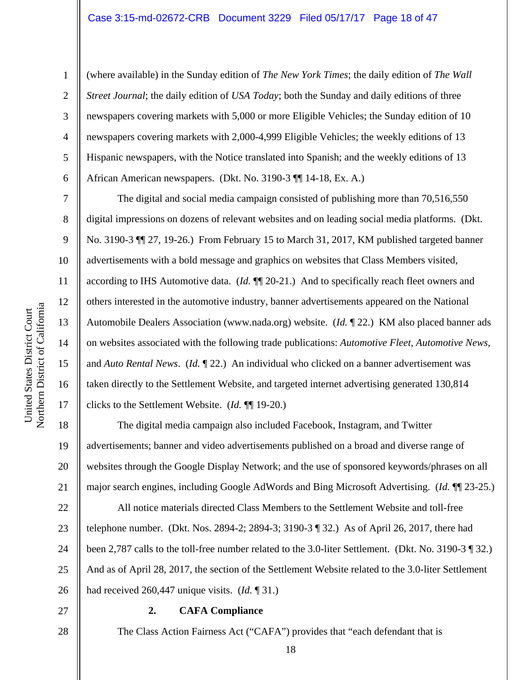(where available) in the Sunday edition of *The New York Times*; the daily edition of *The Wall Street Journal*; the daily edition of *USA Today*; both the Sunday and daily editions of three newspapers covering markets with 5,000 or more Eligible Vehicles; the Sunday edition of 10 newspapers covering markets with 2,000-4,999 Eligible Vehicles; the weekly editions of 13 Hispanic newspapers, with the Notice translated into Spanish; and the weekly editions of 13 African American newspapers. (Dkt. No. 3190-3 ¶¶ 14-18, Ex. A.)

The digital and social media campaign consisted of publishing more than 70,516,550 digital impressions on dozens of relevant websites and on leading social media platforms. (Dkt. No. 3190-3 ¶¶ 27, 19-26.) From February 15 to March 31, 2017, KM published targeted banner advertisements with a bold message and graphics on websites that Class Members visited, according to IHS Automotive data. (*Id.* ¶¶ 20-21.) And to specifically reach fleet owners and others interested in the automotive industry, banner advertisements appeared on the National Automobile Dealers Association (www.nada.org) website. (*Id.* ¶ 22.) KM also placed banner ads on websites associated with the following trade publications: *Automotive Fleet*, *Automotive News*, and *Auto Rental News*. (*Id.* ¶ 22.) An individual who clicked on a banner advertisement was taken directly to the Settlement Website, and targeted internet advertising generated 130,814 clicks to the Settlement Website. (*Id.* ¶¶ 19-20.)

The digital media campaign also included Facebook, Instagram, and Twitter advertisements; banner and video advertisements published on a broad and diverse range of websites through the Google Display Network; and the use of sponsored keywords/phrases on all major search engines, including Google AdWords and Bing Microsoft Advertising. (*Id.* ¶¶ 23-25.)

22 23 24 25 26 All notice materials directed Class Members to the Settlement Website and toll-free telephone number. (Dkt. Nos. 2894-2; 2894-3; 3190-3 ¶ 32.) As of April 26, 2017, there had been 2,787 calls to the toll-free number related to the 3.0-liter Settlement. (Dkt. No. 3190-3 ¶ 32.) And as of April 28, 2017, the section of the Settlement Website related to the 3.0-liter Settlement had received 260,447 unique visits. (*Id.* ¶ 31.)

27

28

#### **2. CAFA Compliance**

The Class Action Fairness Act ("CAFA") provides that "each defendant that is

1

2

3

4

5

6

7

8

9

10

11

12

13

14

15

16

17

18

19

20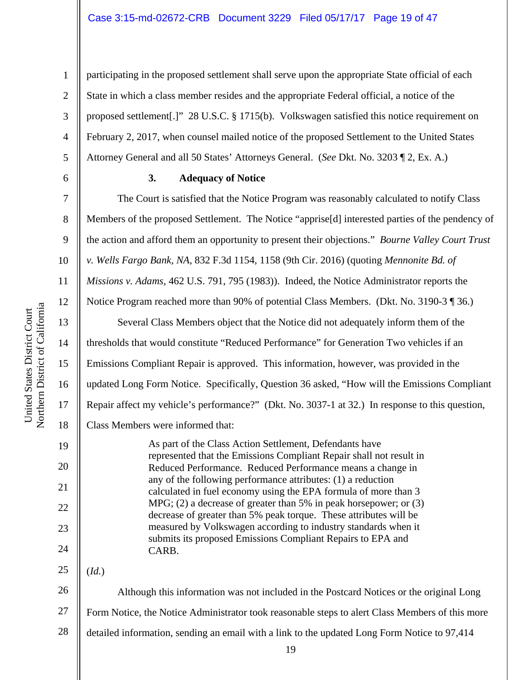participating in the proposed settlement shall serve upon the appropriate State official of each State in which a class member resides and the appropriate Federal official, a notice of the proposed settlement[.]" 28 U.S.C. § 1715(b). Volkswagen satisfied this notice requirement on February 2, 2017, when counsel mailed notice of the proposed Settlement to the United States Attorney General and all 50 States' Attorneys General. (*See* Dkt. No. 3203 ¶ 2, Ex. A.)

#### **3. Adequacy of Notice**

The Court is satisfied that the Notice Program was reasonably calculated to notify Class Members of the proposed Settlement. The Notice "apprise[d] interested parties of the pendency of the action and afford them an opportunity to present their objections." *Bourne Valley Court Trust v. Wells Fargo Bank, NA*, 832 F.3d 1154, 1158 (9th Cir. 2016) (quoting *Mennonite Bd. of Missions v. Adams*, 462 U.S. 791, 795 (1983)). Indeed, the Notice Administrator reports the Notice Program reached more than 90% of potential Class Members. (Dkt. No. 3190-3 ¶ 36.) Several Class Members object that the Notice did not adequately inform them of the thresholds that would constitute "Reduced Performance" for Generation Two vehicles if an Emissions Compliant Repair is approved. This information, however, was provided in the updated Long Form Notice. Specifically, Question 36 asked, "How will the Emissions Compliant Repair affect my vehicle's performance?" (Dkt. No. 3037-1 at 32.) In response to this question, Class Members were informed that:

As part of the Class Action Settlement, Defendants have represented that the Emissions Compliant Repair shall not result in Reduced Performance. Reduced Performance means a change in any of the following performance attributes: (1) a reduction calculated in fuel economy using the EPA formula of more than 3 MPG; (2) a decrease of greater than 5% in peak horsepower; or (3) decrease of greater than 5% peak torque. These attributes will be measured by Volkswagen according to industry standards when it submits its proposed Emissions Compliant Repairs to EPA and CARB.

25 (*Id.*)

26 27 28 Although this information was not included in the Postcard Notices or the original Long Form Notice, the Notice Administrator took reasonable steps to alert Class Members of this more detailed information, sending an email with a link to the updated Long Form Notice to 97,414

1

2

3

4

5

6

7

8

9

10

11

12

13

14

15

16

17

18

19

20

21

22

23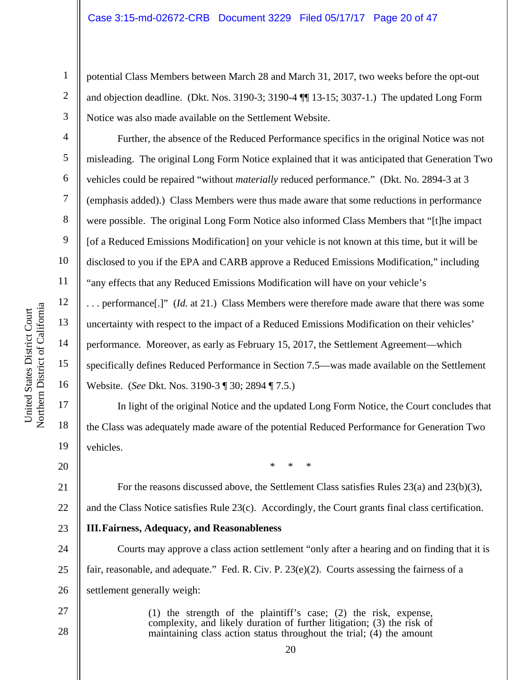potential Class Members between March 28 and March 31, 2017, two weeks before the opt-out and objection deadline. (Dkt. Nos. 3190-3; 3190-4 ¶¶ 13-15; 3037-1.) The updated Long Form Notice was also made available on the Settlement Website.

Further, the absence of the Reduced Performance specifics in the original Notice was not misleading. The original Long Form Notice explained that it was anticipated that Generation Two vehicles could be repaired "without *materially* reduced performance." (Dkt. No. 2894-3 at 3 (emphasis added).) Class Members were thus made aware that some reductions in performance were possible. The original Long Form Notice also informed Class Members that "[t]he impact [of a Reduced Emissions Modification] on your vehicle is not known at this time, but it will be disclosed to you if the EPA and CARB approve a Reduced Emissions Modification," including "any effects that any Reduced Emissions Modification will have on your vehicle's . . . performance[.]" (*Id.* at 21.) Class Members were therefore made aware that there was some

uncertainty with respect to the impact of a Reduced Emissions Modification on their vehicles' performance. Moreover, as early as February 15, 2017, the Settlement Agreement—which specifically defines Reduced Performance in Section 7.5—was made available on the Settlement Website. (*See* Dkt. Nos. 3190-3 ¶ 30; 2894 ¶ 7.5.)

In light of the original Notice and the updated Long Form Notice, the Court concludes that the Class was adequately made aware of the potential Reduced Performance for Generation Two vehicles.

20

21

22

23

27

28

1

2

3

4

5

6

7

8

9

10

11

12

13

14

15

16

17

18

19

\* \* \*

For the reasons discussed above, the Settlement Class satisfies Rules 23(a) and 23(b)(3), and the Class Notice satisfies Rule 23(c). Accordingly, the Court grants final class certification.

#### **III.Fairness, Adequacy, and Reasonableness**

24 25 26 Courts may approve a class action settlement "only after a hearing and on finding that it is fair, reasonable, and adequate." Fed. R. Civ. P. 23(e)(2). Courts assessing the fairness of a settlement generally weigh:

> (1) the strength of the plaintiff's case; (2) the risk, expense, complexity, and likely duration of further litigation; (3) the risk of maintaining class action status throughout the trial; (4) the amount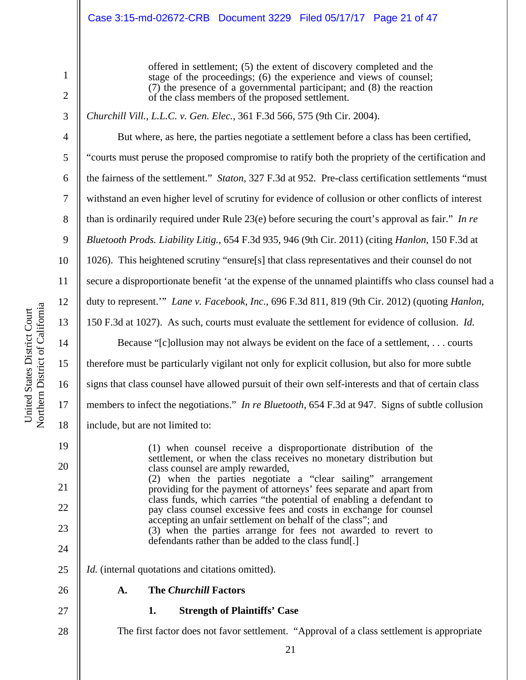#### Case 3:15-md-02672-CRB Document 3229 Filed 05/17/17 Page 21 of 47

offered in settlement; (5) the extent of discovery completed and the stage of the proceedings; (6) the experience and views of counsel; (7) the presence of a governmental participant; and (8) the reaction of the class members of the proposed settlement.

*Churchill Vill., L.L.C. v. Gen. Elec.*, 361 F.3d 566, 575 (9th Cir. 2004).

But where, as here, the parties negotiate a settlement before a class has been certified, "courts must peruse the proposed compromise to ratify both the propriety of the certification and the fairness of the settlement." *Staton*, 327 F.3d at 952. Pre-class certification settlements "must withstand an even higher level of scrutiny for evidence of collusion or other conflicts of interest than is ordinarily required under Rule 23(e) before securing the court's approval as fair." *In re Bluetooth Prods. Liability Litig.*, 654 F.3d 935, 946 (9th Cir. 2011) (citing *Hanlon*, 150 F.3d at 1026). This heightened scrutiny "ensure[s] that class representatives and their counsel do not secure a disproportionate benefit 'at the expense of the unnamed plaintiffs who class counsel had a duty to represent.'" *Lane v. Facebook, Inc.*, 696 F.3d 811, 819 (9th Cir. 2012) (quoting *Hanlon*, 150 F.3d at 1027). As such, courts must evaluate the settlement for evidence of collusion. *Id.* Because "[c]ollusion may not always be evident on the face of a settlement, . . . courts

therefore must be particularly vigilant not only for explicit collusion, but also for more subtle signs that class counsel have allowed pursuit of their own self-interests and that of certain class members to infect the negotiations." *In re Bluetooth*, 654 F.3d at 947. Signs of subtle collusion include, but are not limited to:

(1) when counsel receive a disproportionate distribution of the settlement, or when the class receives no monetary distribution but class counsel are amply rewarded, (2) when the parties negotiate a "clear sailing" arrangement providing for the payment of attorneys' fees separate and apart from class funds, which carries "the potential of enabling a defendant to pay class counsel excessive fees and costs in exchange for counsel accepting an unfair settlement on behalf of the class"; and (3) when the parties arrange for fees not awarded to revert to defendants rather than be added to the class fund[.] *Id.* (internal quotations and citations omitted).

26

- **A. The** *Churchill* **Factors**
- 27 28

**1. Strength of Plaintiffs' Case** 

The first factor does not favor settlement. "Approval of a class settlement is appropriate

a

1

2

3

4

5

6

7

8

9

10

11

12

13

14

15

16

17

18

19

20

21

22

23

24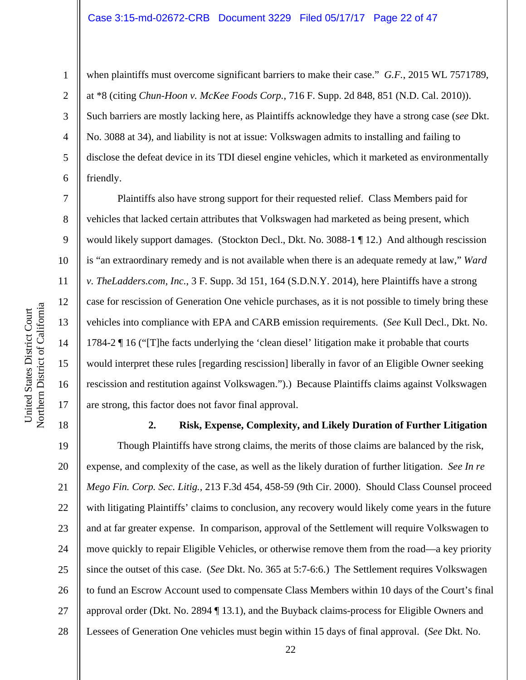#### Case 3:15-md-02672-CRB Document 3229 Filed 05/17/17 Page 22 of 47

6

7

8

9

10

11

12

13

14

15

16

17

18

19

20

21

22

23

24

25

26

27

28

1

when plaintiffs must overcome significant barriers to make their case." *G.F.*, 2015 WL 7571789, at \*8 (citing *Chun-Hoon v. McKee Foods Corp.*, 716 F. Supp. 2d 848, 851 (N.D. Cal. 2010)). Such barriers are mostly lacking here, as Plaintiffs acknowledge they have a strong case (*see* Dkt. No. 3088 at 34), and liability is not at issue: Volkswagen admits to installing and failing to disclose the defeat device in its TDI diesel engine vehicles, which it marketed as environmentally friendly.

Plaintiffs also have strong support for their requested relief. Class Members paid for vehicles that lacked certain attributes that Volkswagen had marketed as being present, which would likely support damages. (Stockton Decl., Dkt. No. 3088-1 ¶ 12.) And although rescission is "an extraordinary remedy and is not available when there is an adequate remedy at law," *Ward v. TheLadders.com, Inc.*, 3 F. Supp. 3d 151, 164 (S.D.N.Y. 2014), here Plaintiffs have a strong case for rescission of Generation One vehicle purchases, as it is not possible to timely bring these vehicles into compliance with EPA and CARB emission requirements. (*See* Kull Decl., Dkt. No. 1784-2 ¶ 16 ("[T]he facts underlying the 'clean diesel' litigation make it probable that courts would interpret these rules [regarding rescission] liberally in favor of an Eligible Owner seeking rescission and restitution against Volkswagen.").) Because Plaintiffs claims against Volkswagen are strong, this factor does not favor final approval.

**2. Risk, Expense, Complexity, and Likely Duration of Further Litigation**  Though Plaintiffs have strong claims, the merits of those claims are balanced by the risk, expense, and complexity of the case, as well as the likely duration of further litigation. *See In re Mego Fin. Corp. Sec. Litig.*, 213 F.3d 454, 458-59 (9th Cir. 2000). Should Class Counsel proceed with litigating Plaintiffs' claims to conclusion, any recovery would likely come years in the future and at far greater expense. In comparison, approval of the Settlement will require Volkswagen to move quickly to repair Eligible Vehicles, or otherwise remove them from the road—a key priority since the outset of this case. (*See* Dkt. No. 365 at 5:7-6:6.) The Settlement requires Volkswagen to fund an Escrow Account used to compensate Class Members within 10 days of the Court's final approval order (Dkt. No. 2894 ¶ 13.1), and the Buyback claims-process for Eligible Owners and Lessees of Generation One vehicles must begin within 15 days of final approval. (*See* Dkt. No.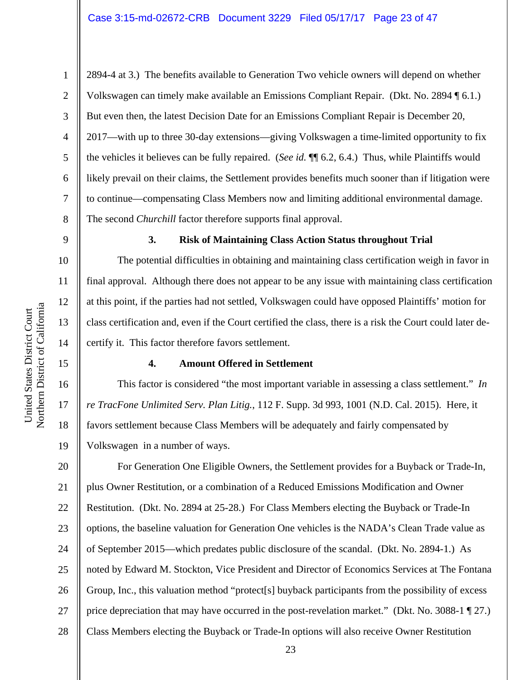2894-4 at 3.) The benefits available to Generation Two vehicle owners will depend on whether Volkswagen can timely make available an Emissions Compliant Repair. (Dkt. No. 2894 ¶ 6.1.) But even then, the latest Decision Date for an Emissions Compliant Repair is December 20, 2017—with up to three 30-day extensions—giving Volkswagen a time-limited opportunity to fix the vehicles it believes can be fully repaired. (*See id.* ¶¶ 6.2, 6.4.) Thus, while Plaintiffs would likely prevail on their claims, the Settlement provides benefits much sooner than if litigation were to continue—compensating Class Members now and limiting additional environmental damage. The second *Churchill* factor therefore supports final approval.

9

1

2

3

4

5

6

7

8

10

11

12

13

14

15

16

17

18

19

#### **3. Risk of Maintaining Class Action Status throughout Trial**

The potential difficulties in obtaining and maintaining class certification weigh in favor in final approval. Although there does not appear to be any issue with maintaining class certification at this point, if the parties had not settled, Volkswagen could have opposed Plaintiffs' motion for class certification and, even if the Court certified the class, there is a risk the Court could later decertify it. This factor therefore favors settlement.

#### **4. Amount Offered in Settlement**

This factor is considered "the most important variable in assessing a class settlement." *In re TracFone Unlimited Serv. Plan Litig.*, 112 F. Supp. 3d 993, 1001 (N.D. Cal. 2015). Here, it favors settlement because Class Members will be adequately and fairly compensated by Volkswagen in a number of ways.

20 21 22 23 24 25 26 27 28 For Generation One Eligible Owners, the Settlement provides for a Buyback or Trade-In, plus Owner Restitution, or a combination of a Reduced Emissions Modification and Owner Restitution. (Dkt. No. 2894 at 25-28.) For Class Members electing the Buyback or Trade-In options, the baseline valuation for Generation One vehicles is the NADA's Clean Trade value as of September 2015—which predates public disclosure of the scandal. (Dkt. No. 2894-1.) As noted by Edward M. Stockton, Vice President and Director of Economics Services at The Fontana Group, Inc., this valuation method "protect[s] buyback participants from the possibility of excess price depreciation that may have occurred in the post-revelation market." (Dkt. No. 3088-1 ¶ 27.) Class Members electing the Buyback or Trade-In options will also receive Owner Restitution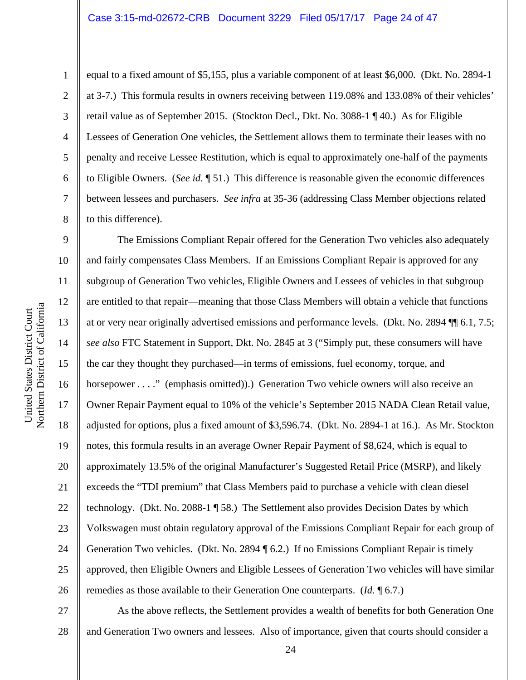1

2

3

4

5

6

7

8

equal to a fixed amount of \$5,155, plus a variable component of at least \$6,000. (Dkt. No. 2894-1 at 3-7.) This formula results in owners receiving between 119.08% and 133.08% of their vehicles' retail value as of September 2015. (Stockton Decl., Dkt. No. 3088-1 ¶ 40.) As for Eligible Lessees of Generation One vehicles, the Settlement allows them to terminate their leases with no penalty and receive Lessee Restitution, which is equal to approximately one-half of the payments to Eligible Owners. (*See id.* ¶ 51.) This difference is reasonable given the economic differences between lessees and purchasers. *See infra* at 35-36 (addressing Class Member objections related to this difference).

9 10 11 12 13 14 15 16 17 18 19 20 21 22 23 24 25 26 The Emissions Compliant Repair offered for the Generation Two vehicles also adequately and fairly compensates Class Members. If an Emissions Compliant Repair is approved for any subgroup of Generation Two vehicles, Eligible Owners and Lessees of vehicles in that subgroup are entitled to that repair—meaning that those Class Members will obtain a vehicle that functions at or very near originally advertised emissions and performance levels. (Dkt. No. 2894 ¶¶ 6.1, 7.5; *see also* FTC Statement in Support, Dkt. No. 2845 at 3 ("Simply put, these consumers will have the car they thought they purchased—in terms of emissions, fuel economy, torque, and horsepower . . . ." (emphasis omitted)).) Generation Two vehicle owners will also receive an Owner Repair Payment equal to 10% of the vehicle's September 2015 NADA Clean Retail value, adjusted for options, plus a fixed amount of \$3,596.74. (Dkt. No. 2894-1 at 16.). As Mr. Stockton notes, this formula results in an average Owner Repair Payment of \$8,624, which is equal to approximately 13.5% of the original Manufacturer's Suggested Retail Price (MSRP), and likely exceeds the "TDI premium" that Class Members paid to purchase a vehicle with clean diesel technology. (Dkt. No. 2088-1 ¶ 58.) The Settlement also provides Decision Dates by which Volkswagen must obtain regulatory approval of the Emissions Compliant Repair for each group of Generation Two vehicles. (Dkt. No. 2894 ¶ 6.2.) If no Emissions Compliant Repair is timely approved, then Eligible Owners and Eligible Lessees of Generation Two vehicles will have similar remedies as those available to their Generation One counterparts. (*Id.* ¶ 6.7.)

27 28 As the above reflects, the Settlement provides a wealth of benefits for both Generation One and Generation Two owners and lessees. Also of importance, given that courts should consider a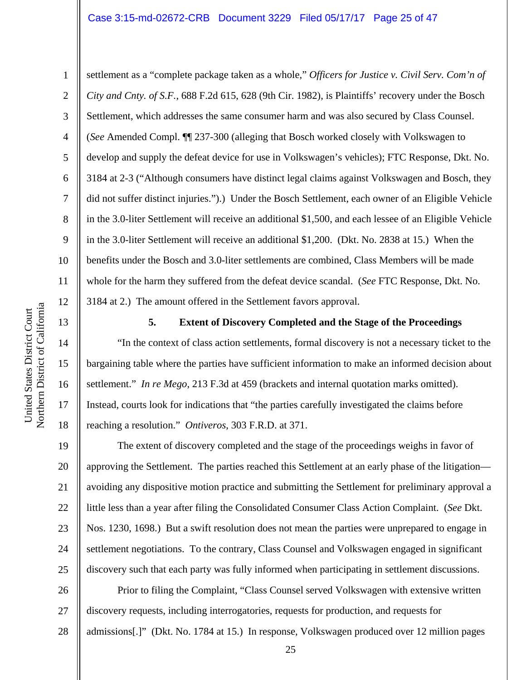#### Case 3:15-md-02672-CRB Document 3229 Filed 05/17/17 Page 25 of 47

United States District Court

United States District Court

1

2

3

4

5

6

7

8

9

18

19

settlement as a "complete package taken as a whole," *Officers for Justice v. Civil Serv. Com'n of City and Cnty. of S.F.*, 688 F.2d 615, 628 (9th Cir. 1982), is Plaintiffs' recovery under the Bosch Settlement, which addresses the same consumer harm and was also secured by Class Counsel. (*See* Amended Compl. ¶¶ 237-300 (alleging that Bosch worked closely with Volkswagen to develop and supply the defeat device for use in Volkswagen's vehicles); FTC Response, Dkt. No. 3184 at 2-3 ("Although consumers have distinct legal claims against Volkswagen and Bosch, they did not suffer distinct injuries.").) Under the Bosch Settlement, each owner of an Eligible Vehicle in the 3.0-liter Settlement will receive an additional \$1,500, and each lessee of an Eligible Vehicle in the 3.0-liter Settlement will receive an additional \$1,200. (Dkt. No. 2838 at 15.) When the benefits under the Bosch and 3.0-liter settlements are combined, Class Members will be made whole for the harm they suffered from the defeat device scandal. (*See* FTC Response, Dkt. No. 3184 at 2.) The amount offered in the Settlement favors approval.

**5. Extent of Discovery Completed and the Stage of the Proceedings** 

"In the context of class action settlements, formal discovery is not a necessary ticket to the bargaining table where the parties have sufficient information to make an informed decision about settlement." *In re Mego*, 213 F.3d at 459 (brackets and internal quotation marks omitted). Instead, courts look for indications that "the parties carefully investigated the claims before reaching a resolution." *Ontiveros*, 303 F.R.D. at 371.

20 21 22 23 24 25 The extent of discovery completed and the stage of the proceedings weighs in favor of approving the Settlement. The parties reached this Settlement at an early phase of the litigation avoiding any dispositive motion practice and submitting the Settlement for preliminary approval a little less than a year after filing the Consolidated Consumer Class Action Complaint. (*See* Dkt. Nos. 1230, 1698.) But a swift resolution does not mean the parties were unprepared to engage in settlement negotiations. To the contrary, Class Counsel and Volkswagen engaged in significant discovery such that each party was fully informed when participating in settlement discussions.

26 27 28 Prior to filing the Complaint, "Class Counsel served Volkswagen with extensive written discovery requests, including interrogatories, requests for production, and requests for admissions[.]" (Dkt. No. 1784 at 15.) In response, Volkswagen produced over 12 million pages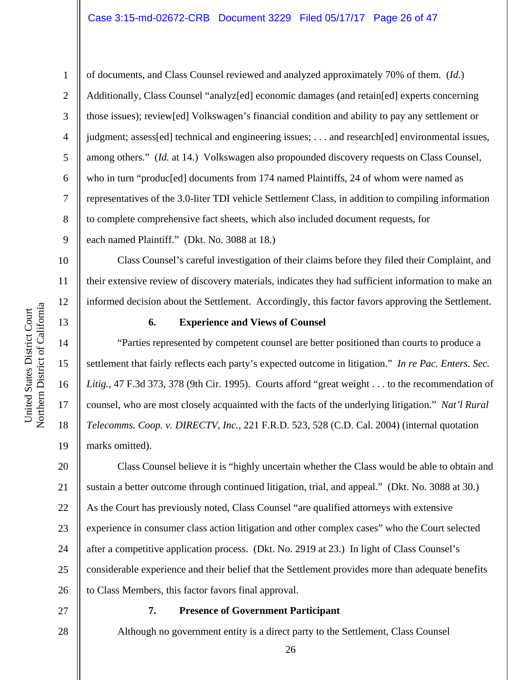#### Case 3:15-md-02672-CRB Document 3229 Filed 05/17/17 Page 26 of 47

of documents, and Class Counsel reviewed and analyzed approximately 70% of them. (*Id.*) Additionally, Class Counsel "analyz[ed] economic damages (and retain[ed] experts concerning those issues); review[ed] Volkswagen's financial condition and ability to pay any settlement or judgment; assess[ed] technical and engineering issues; . . . and research[ed] environmental issues, among others." (*Id.* at 14.) Volkswagen also propounded discovery requests on Class Counsel, who in turn "produc[ed] documents from 174 named Plaintiffs, 24 of whom were named as representatives of the 3.0-liter TDI vehicle Settlement Class, in addition to compiling information to complete comprehensive fact sheets, which also included document requests, for each named Plaintiff." (Dkt. No. 3088 at 18.)

Class Counsel's careful investigation of their claims before they filed their Complaint, and their extensive review of discovery materials, indicates they had sufficient information to make an informed decision about the Settlement. Accordingly, this factor favors approving the Settlement.

#### **6. Experience and Views of Counsel**

"Parties represented by competent counsel are better positioned than courts to produce a settlement that fairly reflects each party's expected outcome in litigation." *In re Pac. Enters. Sec. Litig.*, 47 F.3d 373, 378 (9th Cir. 1995). Courts afford "great weight . . . to the recommendation of counsel, who are most closely acquainted with the facts of the underlying litigation." *Nat'l Rural Telecomms. Coop. v. DIRECTV, Inc.*, 221 F.R.D. 523, 528 (C.D. Cal. 2004) (internal quotation marks omitted).

20 21 22 23 24 25 26 Class Counsel believe it is "highly uncertain whether the Class would be able to obtain and sustain a better outcome through continued litigation, trial, and appeal." (Dkt. No. 3088 at 30.) As the Court has previously noted, Class Counsel "are qualified attorneys with extensive experience in consumer class action litigation and other complex cases" who the Court selected after a competitive application process. (Dkt. No. 2919 at 23.) In light of Class Counsel's considerable experience and their belief that the Settlement provides more than adequate benefits to Class Members, this factor favors final approval.

27

28

#### **7. Presence of Government Participant**

Although no government entity is a direct party to the Settlement, Class Counsel

a

1

2

3

4

5

6

7

8

9

10

11

12

13

14

15

16

17

18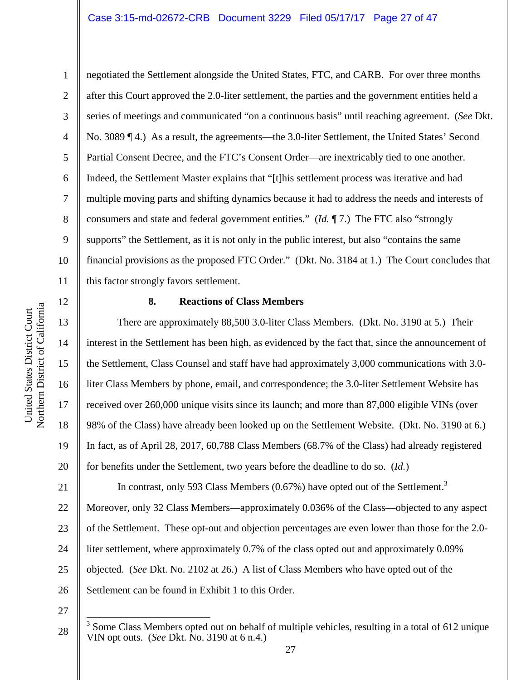#### Case 3:15-md-02672-CRB Document 3229 Filed 05/17/17 Page 27 of 47

1 2 3 4 5 6 7 8 9 negotiated the Settlement alongside the United States, FTC, and CARB. For over three months after this Court approved the 2.0-liter settlement, the parties and the government entities held a series of meetings and communicated "on a continuous basis" until reaching agreement. (*See* Dkt. No. 3089 ¶ 4.) As a result, the agreements—the 3.0-liter Settlement, the United States' Second Partial Consent Decree, and the FTC's Consent Order—are inextricably tied to one another. Indeed, the Settlement Master explains that "[t]his settlement process was iterative and had multiple moving parts and shifting dynamics because it had to address the needs and interests of consumers and state and federal government entities." (*Id.* ¶ 7.) The FTC also "strongly supports" the Settlement, as it is not only in the public interest, but also "contains the same financial provisions as the proposed FTC Order." (Dkt. No. 3184 at 1.) The Court concludes that this factor strongly favors settlement.

#### **8. Reactions of Class Members**

There are approximately 88,500 3.0-liter Class Members. (Dkt. No. 3190 at 5.) Their interest in the Settlement has been high, as evidenced by the fact that, since the announcement of the Settlement, Class Counsel and staff have had approximately 3,000 communications with 3.0 liter Class Members by phone, email, and correspondence; the 3.0-liter Settlement Website has received over 260,000 unique visits since its launch; and more than 87,000 eligible VINs (over 98% of the Class) have already been looked up on the Settlement Website. (Dkt. No. 3190 at 6.) In fact, as of April 28, 2017, 60,788 Class Members (68.7% of the Class) had already registered for benefits under the Settlement, two years before the deadline to do so. (*Id.*)

21 22 23 24 25 26 In contrast, only 593 Class Members  $(0.67%)$  have opted out of the Settlement.<sup>3</sup> Moreover, only 32 Class Members—approximately 0.036% of the Class—objected to any aspect of the Settlement. These opt-out and objection percentages are even lower than those for the 2.0 liter settlement, where approximately 0.7% of the class opted out and approximately 0.09% objected. (*See* Dkt. No. 2102 at 26.) A list of Class Members who have opted out of the Settlement can be found in Exhibit 1 to this Order.

27

 $\overline{a}$ 

28

16

17

18

19

 $3$  Some Class Members opted out on behalf of multiple vehicles, resulting in a total of 612 unique VIN opt outs. (*See* Dkt. No. 3190 at 6 n.4.)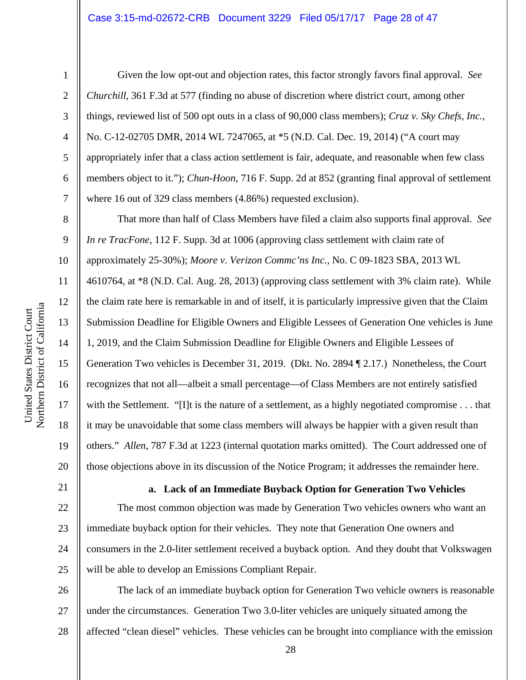1

2

3

4

5

6

7

8

9

10

11

12

13

14

15

16

17

18

19

20

Given the low opt-out and objection rates, this factor strongly favors final approval. *See Churchill*, 361 F.3d at 577 (finding no abuse of discretion where district court, among other things, reviewed list of 500 opt outs in a class of 90,000 class members); *Cruz v. Sky Chefs, Inc.*, No. C-12-02705 DMR, 2014 WL 7247065, at \*5 (N.D. Cal. Dec. 19, 2014) ("A court may appropriately infer that a class action settlement is fair, adequate, and reasonable when few class members object to it."); *Chun-Hoon*, 716 F. Supp. 2d at 852 (granting final approval of settlement where 16 out of 329 class members  $(4.86%)$  requested exclusion).

That more than half of Class Members have filed a claim also supports final approval. *See In re TracFone*, 112 F. Supp. 3d at 1006 (approving class settlement with claim rate of approximately 25-30%); *Moore v. Verizon Commc'ns Inc.*, No. C 09-1823 SBA, 2013 WL 4610764, at \*8 (N.D. Cal. Aug. 28, 2013) (approving class settlement with 3% claim rate). While the claim rate here is remarkable in and of itself, it is particularly impressive given that the Claim Submission Deadline for Eligible Owners and Eligible Lessees of Generation One vehicles is June 1, 2019, and the Claim Submission Deadline for Eligible Owners and Eligible Lessees of Generation Two vehicles is December 31, 2019. (Dkt. No. 2894 ¶ 2.17.) Nonetheless, the Court recognizes that not all—albeit a small percentage—of Class Members are not entirely satisfied with the Settlement. "[I]t is the nature of a settlement, as a highly negotiated compromise . . . that it may be unavoidable that some class members will always be happier with a given result than others." *Allen*, 787 F.3d at 1223 (internal quotation marks omitted). The Court addressed one of those objections above in its discussion of the Notice Program; it addresses the remainder here.

21 22

23

24

25

**a. Lack of an Immediate Buyback Option for Generation Two Vehicles** 

The most common objection was made by Generation Two vehicles owners who want an immediate buyback option for their vehicles. They note that Generation One owners and consumers in the 2.0-liter settlement received a buyback option. And they doubt that Volkswagen will be able to develop an Emissions Compliant Repair.

26 27 28 The lack of an immediate buyback option for Generation Two vehicle owners is reasonable under the circumstances. Generation Two 3.0-liter vehicles are uniquely situated among the affected "clean diesel" vehicles. These vehicles can be brought into compliance with the emission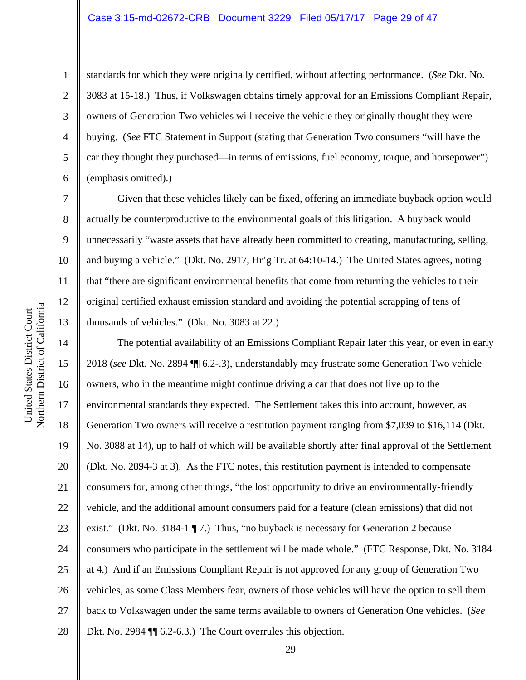#### Case 3:15-md-02672-CRB Document 3229 Filed 05/17/17 Page 29 of 47

9

10

11

12

13

1

standards for which they were originally certified, without affecting performance. (*See* Dkt. No. 3083 at 15-18.) Thus, if Volkswagen obtains timely approval for an Emissions Compliant Repair, owners of Generation Two vehicles will receive the vehicle they originally thought they were buying. (*See* FTC Statement in Support (stating that Generation Two consumers "will have the car they thought they purchased—in terms of emissions, fuel economy, torque, and horsepower") (emphasis omitted).)

Given that these vehicles likely can be fixed, offering an immediate buyback option would actually be counterproductive to the environmental goals of this litigation. A buyback would unnecessarily "waste assets that have already been committed to creating, manufacturing, selling, and buying a vehicle." (Dkt. No. 2917, Hr'g Tr. at 64:10-14.) The United States agrees, noting that "there are significant environmental benefits that come from returning the vehicles to their original certified exhaust emission standard and avoiding the potential scrapping of tens of thousands of vehicles." (Dkt. No. 3083 at 22.)

14 15 16 17 18 19 20 21 22 23 24 25 26 27 28 The potential availability of an Emissions Compliant Repair later this year, or even in early 2018 (*see* Dkt. No. 2894 ¶¶ 6.2-.3), understandably may frustrate some Generation Two vehicle owners, who in the meantime might continue driving a car that does not live up to the environmental standards they expected. The Settlement takes this into account, however, as Generation Two owners will receive a restitution payment ranging from \$7,039 to \$16,114 (Dkt. No. 3088 at 14), up to half of which will be available shortly after final approval of the Settlement (Dkt. No. 2894-3 at 3). As the FTC notes, this restitution payment is intended to compensate consumers for, among other things, "the lost opportunity to drive an environmentally-friendly vehicle, and the additional amount consumers paid for a feature (clean emissions) that did not exist." (Dkt. No. 3184-1 ¶ 7.) Thus, "no buyback is necessary for Generation 2 because consumers who participate in the settlement will be made whole." (FTC Response, Dkt. No. 3184 at 4.) And if an Emissions Compliant Repair is not approved for any group of Generation Two vehicles, as some Class Members fear, owners of those vehicles will have the option to sell them back to Volkswagen under the same terms available to owners of Generation One vehicles. (*See* Dkt. No. 2984 ¶ [ 6.2-6.3.) The Court overrules this objection.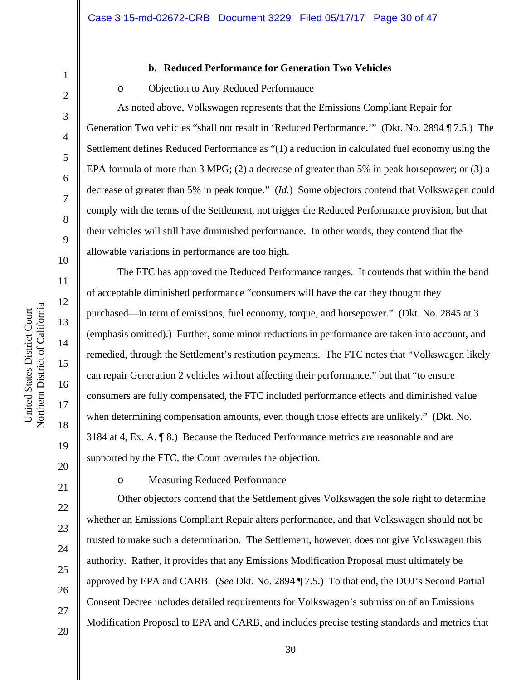## 10 11 12 13 14 15 16 17 Northern District of Californi a

United States District Court

United States District Court

1

2

3

4

5

6

7

8

9

#### **b. Reduced Performance for Generation Two Vehicles**

#### o Objection to Any Reduced Performance

As noted above, Volkswagen represents that the Emissions Compliant Repair for Generation Two vehicles "shall not result in 'Reduced Performance.'" (Dkt. No. 2894 ¶ 7.5.) The Settlement defines Reduced Performance as "(1) a reduction in calculated fuel economy using the EPA formula of more than 3 MPG; (2) a decrease of greater than 5% in peak horsepower; or (3) a decrease of greater than 5% in peak torque." (*Id.*) Some objectors contend that Volkswagen could comply with the terms of the Settlement, not trigger the Reduced Performance provision, but that their vehicles will still have diminished performance. In other words, they contend that the allowable variations in performance are too high.

The FTC has approved the Reduced Performance ranges. It contends that within the band of acceptable diminished performance "consumers will have the car they thought they purchased—in term of emissions, fuel economy, torque, and horsepower." (Dkt. No. 2845 at 3 (emphasis omitted).) Further, some minor reductions in performance are taken into account, and remedied, through the Settlement's restitution payments. The FTC notes that "Volkswagen likely can repair Generation 2 vehicles without affecting their performance," but that "to ensure consumers are fully compensated, the FTC included performance effects and diminished value when determining compensation amounts, even though those effects are unlikely." (Dkt. No. 3184 at 4, Ex. A. ¶ 8.) Because the Reduced Performance metrics are reasonable and are supported by the FTC, the Court overrules the objection.

21

18

19

20

22

23

24

25

26

27

28

o Measuring Reduced Performance

Other objectors contend that the Settlement gives Volkswagen the sole right to determine whether an Emissions Compliant Repair alters performance, and that Volkswagen should not be trusted to make such a determination. The Settlement, however, does not give Volkswagen this authority. Rather, it provides that any Emissions Modification Proposal must ultimately be approved by EPA and CARB. (*See* Dkt. No. 2894 ¶ 7.5.) To that end, the DOJ's Second Partial Consent Decree includes detailed requirements for Volkswagen's submission of an Emissions Modification Proposal to EPA and CARB, and includes precise testing standards and metrics that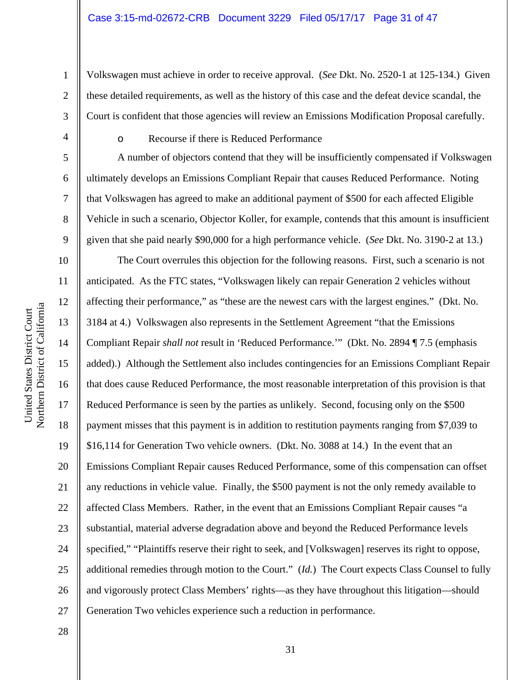Volkswagen must achieve in order to receive approval. (*See* Dkt. No. 2520-1 at 125-134.) Given these detailed requirements, as well as the history of this case and the defeat device scandal, the Court is confident that those agencies will review an Emissions Modification Proposal carefully.

1

2

3

4

5

6

7

8

9

10

11

12

13

14

15

16

17

18

19

20

21

22

23

24

25

26

27

28

o Recourse if there is Reduced Performance

A number of objectors contend that they will be insufficiently compensated if Volkswagen ultimately develops an Emissions Compliant Repair that causes Reduced Performance. Noting that Volkswagen has agreed to make an additional payment of \$500 for each affected Eligible Vehicle in such a scenario, Objector Koller, for example, contends that this amount is insufficient given that she paid nearly \$90,000 for a high performance vehicle. (*See* Dkt. No. 3190-2 at 13.)

The Court overrules this objection for the following reasons. First, such a scenario is not anticipated. As the FTC states, "Volkswagen likely can repair Generation 2 vehicles without affecting their performance," as "these are the newest cars with the largest engines." (Dkt. No. 3184 at 4.) Volkswagen also represents in the Settlement Agreement "that the Emissions Compliant Repair *shall not* result in 'Reduced Performance.'" (Dkt. No. 2894 ¶ 7.5 (emphasis added).) Although the Settlement also includes contingencies for an Emissions Compliant Repair that does cause Reduced Performance, the most reasonable interpretation of this provision is that Reduced Performance is seen by the parties as unlikely. Second, focusing only on the \$500 payment misses that this payment is in addition to restitution payments ranging from \$7,039 to \$16,114 for Generation Two vehicle owners. (Dkt. No. 3088 at 14.) In the event that an Emissions Compliant Repair causes Reduced Performance, some of this compensation can offset any reductions in vehicle value. Finally, the \$500 payment is not the only remedy available to affected Class Members. Rather, in the event that an Emissions Compliant Repair causes "a substantial, material adverse degradation above and beyond the Reduced Performance levels specified," "Plaintiffs reserve their right to seek, and [Volkswagen] reserves its right to oppose, additional remedies through motion to the Court." (*Id.*) The Court expects Class Counsel to fully and vigorously protect Class Members' rights—as they have throughout this litigation—should Generation Two vehicles experience such a reduction in performance.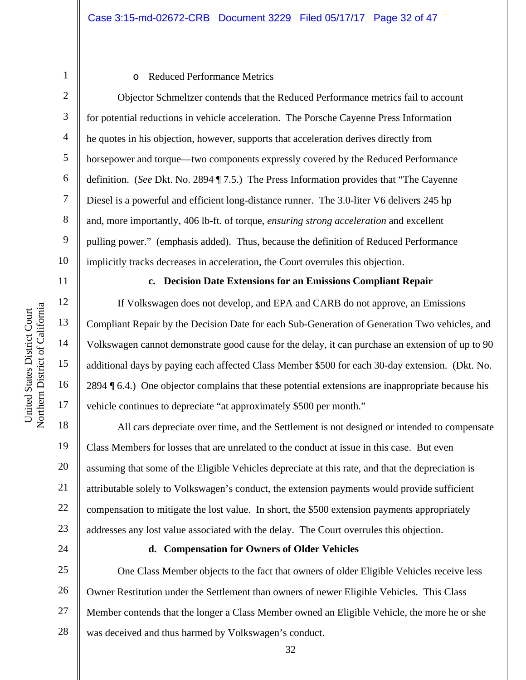2 3

4

5

6

7

8

9

10

11

12

13

14

15

16

17

18

19

20

21

22

23

24

1

#### o Reduced Performance Metrics

Objector Schmeltzer contends that the Reduced Performance metrics fail to account for potential reductions in vehicle acceleration. The Porsche Cayenne Press Information he quotes in his objection, however, supports that acceleration derives directly from horsepower and torque—two components expressly covered by the Reduced Performance definition. (*See* Dkt. No. 2894 ¶ 7.5.) The Press Information provides that "The Cayenne Diesel is a powerful and efficient long-distance runner. The 3.0-liter V6 delivers 245 hp and, more importantly, 406 lb-ft. of torque, *ensuring strong acceleration* and excellent pulling power." (emphasis added). Thus, because the definition of Reduced Performance implicitly tracks decreases in acceleration, the Court overrules this objection.

#### **c. Decision Date Extensions for an Emissions Compliant Repair**

If Volkswagen does not develop, and EPA and CARB do not approve, an Emissions Compliant Repair by the Decision Date for each Sub-Generation of Generation Two vehicles, and Volkswagen cannot demonstrate good cause for the delay, it can purchase an extension of up to 90 additional days by paying each affected Class Member \$500 for each 30-day extension. (Dkt. No. 2894 ¶ 6.4.) One objector complains that these potential extensions are inappropriate because his vehicle continues to depreciate "at approximately \$500 per month."

All cars depreciate over time, and the Settlement is not designed or intended to compensate Class Members for losses that are unrelated to the conduct at issue in this case. But even assuming that some of the Eligible Vehicles depreciate at this rate, and that the depreciation is attributable solely to Volkswagen's conduct, the extension payments would provide sufficient compensation to mitigate the lost value. In short, the \$500 extension payments appropriately addresses any lost value associated with the delay. The Court overrules this objection.

#### **d. Compensation for Owners of Older Vehicles**

25 26 27 28 One Class Member objects to the fact that owners of older Eligible Vehicles receive less Owner Restitution under the Settlement than owners of newer Eligible Vehicles. This Class Member contends that the longer a Class Member owned an Eligible Vehicle, the more he or she was deceived and thus harmed by Volkswagen's conduct.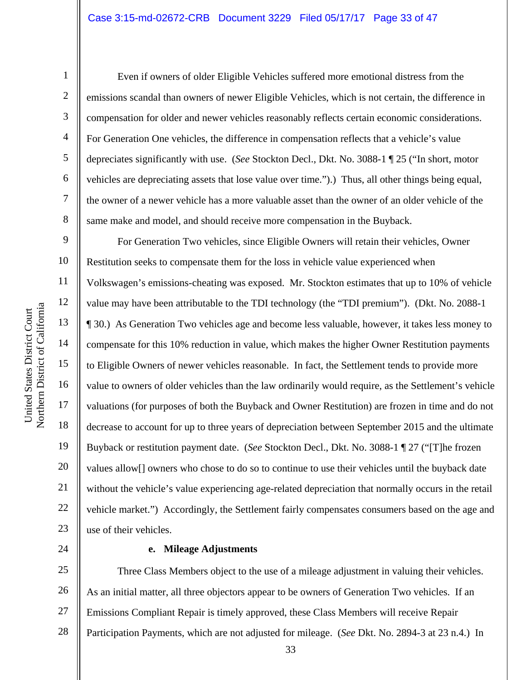1

2

3

4

5

6

7

8

9

11

12

13

14

15

17

18

19

21

22

23

Even if owners of older Eligible Vehicles suffered more emotional distress from the emissions scandal than owners of newer Eligible Vehicles, which is not certain, the difference in compensation for older and newer vehicles reasonably reflects certain economic considerations. For Generation One vehicles, the difference in compensation reflects that a vehicle's value depreciates significantly with use. (*See* Stockton Decl., Dkt. No. 3088-1 ¶ 25 ("In short, motor vehicles are depreciating assets that lose value over time.").) Thus, all other things being equal, the owner of a newer vehicle has a more valuable asset than the owner of an older vehicle of the same make and model, and should receive more compensation in the Buyback.

10 16 20 For Generation Two vehicles, since Eligible Owners will retain their vehicles, Owner Restitution seeks to compensate them for the loss in vehicle value experienced when Volkswagen's emissions-cheating was exposed. Mr. Stockton estimates that up to 10% of vehicle value may have been attributable to the TDI technology (the "TDI premium"). (Dkt. No. 2088-1 ¶ 30.) As Generation Two vehicles age and become less valuable, however, it takes less money to compensate for this 10% reduction in value, which makes the higher Owner Restitution payments to Eligible Owners of newer vehicles reasonable. In fact, the Settlement tends to provide more value to owners of older vehicles than the law ordinarily would require, as the Settlement's vehicle valuations (for purposes of both the Buyback and Owner Restitution) are frozen in time and do not decrease to account for up to three years of depreciation between September 2015 and the ultimate Buyback or restitution payment date. (*See* Stockton Decl., Dkt. No. 3088-1 ¶ 27 ("[T]he frozen values allow[] owners who chose to do so to continue to use their vehicles until the buyback date without the vehicle's value experiencing age-related depreciation that normally occurs in the retail vehicle market.") Accordingly, the Settlement fairly compensates consumers based on the age and use of their vehicles.

24

#### **e. Mileage Adjustments**

25 26 27 28 Three Class Members object to the use of a mileage adjustment in valuing their vehicles. As an initial matter, all three objectors appear to be owners of Generation Two vehicles. If an Emissions Compliant Repair is timely approved, these Class Members will receive Repair Participation Payments, which are not adjusted for mileage. (*See* Dkt. No. 2894-3 at 23 n.4.) In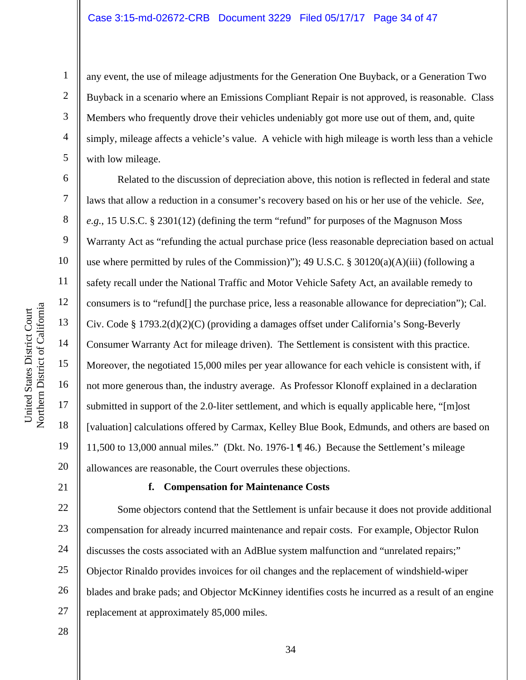any event, the use of mileage adjustments for the Generation One Buyback, or a Generation Two Buyback in a scenario where an Emissions Compliant Repair is not approved, is reasonable. Class Members who frequently drove their vehicles undeniably got more use out of them, and, quite simply, mileage affects a vehicle's value. A vehicle with high mileage is worth less than a vehicle with low mileage.

Related to the discussion of depreciation above, this notion is reflected in federal and state laws that allow a reduction in a consumer's recovery based on his or her use of the vehicle. *See, e.g.*, 15 U.S.C. § 2301(12) (defining the term "refund" for purposes of the Magnuson Moss Warranty Act as "refunding the actual purchase price (less reasonable depreciation based on actual use where permitted by rules of the Commission)"); 49 U.S.C. § 30120(a)(A)(iii) (following a safety recall under the National Traffic and Motor Vehicle Safety Act, an available remedy to consumers is to "refund[] the purchase price, less a reasonable allowance for depreciation"); Cal. Civ. Code § 1793.2(d)(2)(C) (providing a damages offset under California's Song-Beverly Consumer Warranty Act for mileage driven). The Settlement is consistent with this practice. Moreover, the negotiated 15,000 miles per year allowance for each vehicle is consistent with, if not more generous than, the industry average. As Professor Klonoff explained in a declaration submitted in support of the 2.0-liter settlement, and which is equally applicable here, "[m]ost [valuation] calculations offered by Carmax, Kelley Blue Book, Edmunds, and others are based on 11,500 to 13,000 annual miles." (Dkt. No. 1976-1 ¶ 46.) Because the Settlement's mileage allowances are reasonable, the Court overrules these objections.

#### **f. Compensation for Maintenance Costs**

22 23 24 25 26 27 Some objectors contend that the Settlement is unfair because it does not provide additional compensation for already incurred maintenance and repair costs. For example, Objector Rulon discusses the costs associated with an AdBlue system malfunction and "unrelated repairs;" Objector Rinaldo provides invoices for oil changes and the replacement of windshield-wiper blades and brake pads; and Objector McKinney identifies costs he incurred as a result of an engine replacement at approximately 85,000 miles.

28

1

2

3

4

5

6

7

8

9

10

11

12

13

14

15

16

17

18

19

20

21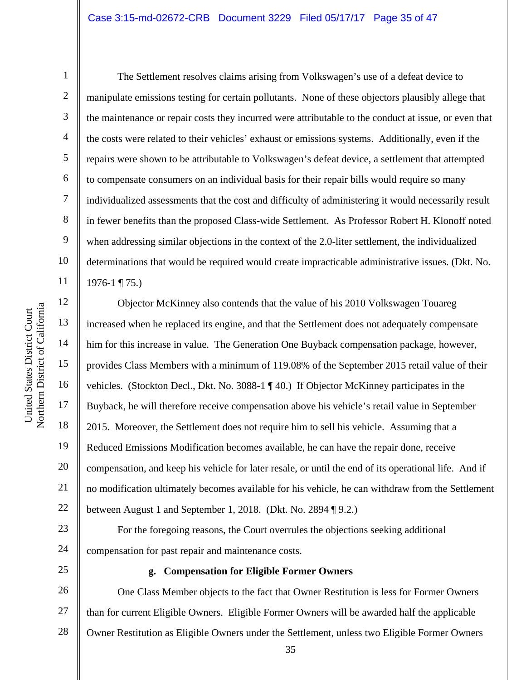#### Case 3:15-md-02672-CRB Document 3229 Filed 05/17/17 Page 35 of 47

10 11 Northern District of Californi a

United States District Court

United States District Court

1

2

3

4

5

6

7

8

9

 The Settlement resolves claims arising from Volkswagen's use of a defeat device to manipulate emissions testing for certain pollutants. None of these objectors plausibly allege that the maintenance or repair costs they incurred were attributable to the conduct at issue, or even that the costs were related to their vehicles' exhaust or emissions systems. Additionally, even if the repairs were shown to be attributable to Volkswagen's defeat device, a settlement that attempted to compensate consumers on an individual basis for their repair bills would require so many individualized assessments that the cost and difficulty of administering it would necessarily result in fewer benefits than the proposed Class-wide Settlement. As Professor Robert H. Klonoff noted when addressing similar objections in the context of the 2.0-liter settlement, the individualized determinations that would be required would create impracticable administrative issues. (Dkt. No. 1976-1 ¶ 75.)

12 13 14 15 16 17 18 19 20 21 22 Objector McKinney also contends that the value of his 2010 Volkswagen Touareg increased when he replaced its engine, and that the Settlement does not adequately compensate him for this increase in value. The Generation One Buyback compensation package, however, provides Class Members with a minimum of 119.08% of the September 2015 retail value of their vehicles. (Stockton Decl., Dkt. No. 3088-1 ¶ 40.) If Objector McKinney participates in the Buyback, he will therefore receive compensation above his vehicle's retail value in September 2015. Moreover, the Settlement does not require him to sell his vehicle. Assuming that a Reduced Emissions Modification becomes available, he can have the repair done, receive compensation, and keep his vehicle for later resale, or until the end of its operational life. And if no modification ultimately becomes available for his vehicle, he can withdraw from the Settlement between August 1 and September 1, 2018. (Dkt. No. 2894 ¶ 9.2.)

For the foregoing reasons, the Court overrules the objections seeking additional compensation for past repair and maintenance costs.

25

23

24

#### **g. Compensation for Eligible Former Owners**

26 27 28 One Class Member objects to the fact that Owner Restitution is less for Former Owners than for current Eligible Owners. Eligible Former Owners will be awarded half the applicable Owner Restitution as Eligible Owners under the Settlement, unless two Eligible Former Owners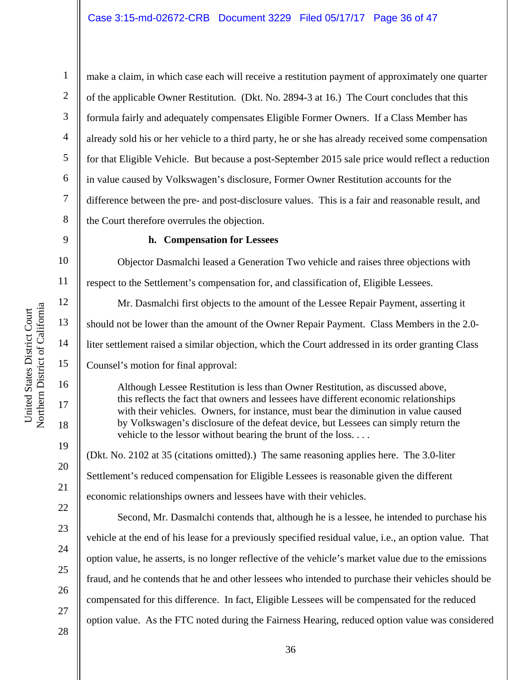make a claim, in which case each will receive a restitution payment of approximately one quarter of the applicable Owner Restitution. (Dkt. No. 2894-3 at 16.) The Court concludes that this formula fairly and adequately compensates Eligible Former Owners. If a Class Member has already sold his or her vehicle to a third party, he or she has already received some compensation for that Eligible Vehicle. But because a post-September 2015 sale price would reflect a reduction in value caused by Volkswagen's disclosure, Former Owner Restitution accounts for the difference between the pre- and post-disclosure values. This is a fair and reasonable result, and the Court therefore overrules the objection.

#### 9

1

2

3

4

5

6

7

8

10

11

12

13

14

15

16

17

18

19

20

21

22

23

24

25

26

27

28

#### **h. Compensation for Lessees**

Objector Dasmalchi leased a Generation Two vehicle and raises three objections with respect to the Settlement's compensation for, and classification of, Eligible Lessees.

Mr. Dasmalchi first objects to the amount of the Lessee Repair Payment, asserting it should not be lower than the amount of the Owner Repair Payment. Class Members in the 2.0 liter settlement raised a similar objection, which the Court addressed in its order granting Class Counsel's motion for final approval:

Although Lessee Restitution is less than Owner Restitution, as discussed above, this reflects the fact that owners and lessees have different economic relationships with their vehicles. Owners, for instance, must bear the diminution in value caused by Volkswagen's disclosure of the defeat device, but Lessees can simply return the vehicle to the lessor without bearing the brunt of the loss. . . .

(Dkt. No. 2102 at 35 (citations omitted).) The same reasoning applies here. The 3.0-liter Settlement's reduced compensation for Eligible Lessees is reasonable given the different economic relationships owners and lessees have with their vehicles.

Second, Mr. Dasmalchi contends that, although he is a lessee, he intended to purchase his vehicle at the end of his lease for a previously specified residual value, i.e., an option value. That option value, he asserts, is no longer reflective of the vehicle's market value due to the emissions fraud, and he contends that he and other lessees who intended to purchase their vehicles should be compensated for this difference. In fact, Eligible Lessees will be compensated for the reduced option value. As the FTC noted during the Fairness Hearing, reduced option value was considered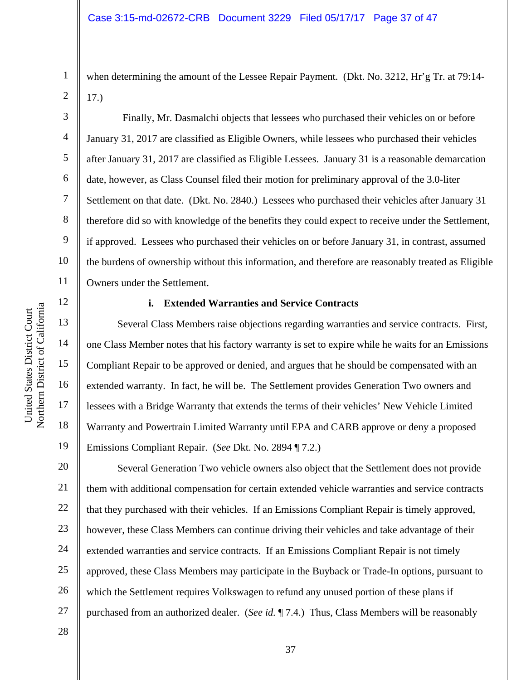when determining the amount of the Lessee Repair Payment. (Dkt. No. 3212, Hr'g Tr. at 79:14- 17.)

 Finally, Mr. Dasmalchi objects that lessees who purchased their vehicles on or before January 31, 2017 are classified as Eligible Owners, while lessees who purchased their vehicles after January 31, 2017 are classified as Eligible Lessees. January 31 is a reasonable demarcation date, however, as Class Counsel filed their motion for preliminary approval of the 3.0-liter Settlement on that date. (Dkt. No. 2840.) Lessees who purchased their vehicles after January 31 therefore did so with knowledge of the benefits they could expect to receive under the Settlement, if approved. Lessees who purchased their vehicles on or before January 31, in contrast, assumed the burdens of ownership without this information, and therefore are reasonably treated as Eligible Owners under the Settlement.

#### **i. Extended Warranties and Service Contracts**

Several Class Members raise objections regarding warranties and service contracts. First, one Class Member notes that his factory warranty is set to expire while he waits for an Emissions Compliant Repair to be approved or denied, and argues that he should be compensated with an extended warranty. In fact, he will be. The Settlement provides Generation Two owners and lessees with a Bridge Warranty that extends the terms of their vehicles' New Vehicle Limited Warranty and Powertrain Limited Warranty until EPA and CARB approve or deny a proposed Emissions Compliant Repair. (*See* Dkt. No. 2894 ¶ 7.2.)

20 21 22 23 24 25 26 27 Several Generation Two vehicle owners also object that the Settlement does not provide them with additional compensation for certain extended vehicle warranties and service contracts that they purchased with their vehicles. If an Emissions Compliant Repair is timely approved, however, these Class Members can continue driving their vehicles and take advantage of their extended warranties and service contracts. If an Emissions Compliant Repair is not timely approved, these Class Members may participate in the Buyback or Trade-In options, pursuant to which the Settlement requires Volkswagen to refund any unused portion of these plans if purchased from an authorized dealer. (*See id.* ¶ 7.4.) Thus, Class Members will be reasonably

28

1

2

3

4

5

6

7

8

9

10

11

12

13

14

15

16

17

18

19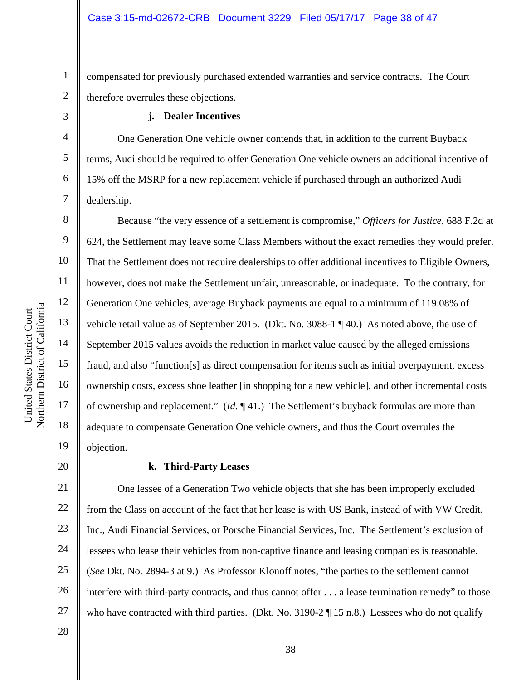1 2 compensated for previously purchased extended warranties and service contracts. The Court therefore overrules these objections.

#### **j. Dealer Incentives**

One Generation One vehicle owner contends that, in addition to the current Buyback terms, Audi should be required to offer Generation One vehicle owners an additional incentive of 15% off the MSRP for a new replacement vehicle if purchased through an authorized Audi dealership.

Because "the very essence of a settlement is compromise," *Officers for Justice*, 688 F.2d at 624, the Settlement may leave some Class Members without the exact remedies they would prefer. That the Settlement does not require dealerships to offer additional incentives to Eligible Owners, however, does not make the Settlement unfair, unreasonable, or inadequate. To the contrary, for Generation One vehicles, average Buyback payments are equal to a minimum of 119.08% of vehicle retail value as of September 2015. (Dkt. No. 3088-1 ¶ 40.) As noted above, the use of September 2015 values avoids the reduction in market value caused by the alleged emissions fraud, and also "function[s] as direct compensation for items such as initial overpayment, excess ownership costs, excess shoe leather [in shopping for a new vehicle], and other incremental costs of ownership and replacement." (*Id.* ¶ 41.) The Settlement's buyback formulas are more than adequate to compensate Generation One vehicle owners, and thus the Court overrules the objection.

#### 20

3

4

5

6

7

8

9

10

11

12

a

13

14

15

16

17

18

19

#### **k. Third-Party Leases**

21 22 23 24 25 26 27 One lessee of a Generation Two vehicle objects that she has been improperly excluded from the Class on account of the fact that her lease is with US Bank, instead of with VW Credit, Inc., Audi Financial Services, or Porsche Financial Services, Inc. The Settlement's exclusion of lessees who lease their vehicles from non-captive finance and leasing companies is reasonable. (*See* Dkt. No. 2894-3 at 9.) As Professor Klonoff notes, "the parties to the settlement cannot interfere with third-party contracts, and thus cannot offer . . . a lease termination remedy" to those who have contracted with third parties. (Dkt. No. 3190-2 ¶ 15 n.8.) Lessees who do not qualify

United States District Court Northern District of Californi

United States District Court

28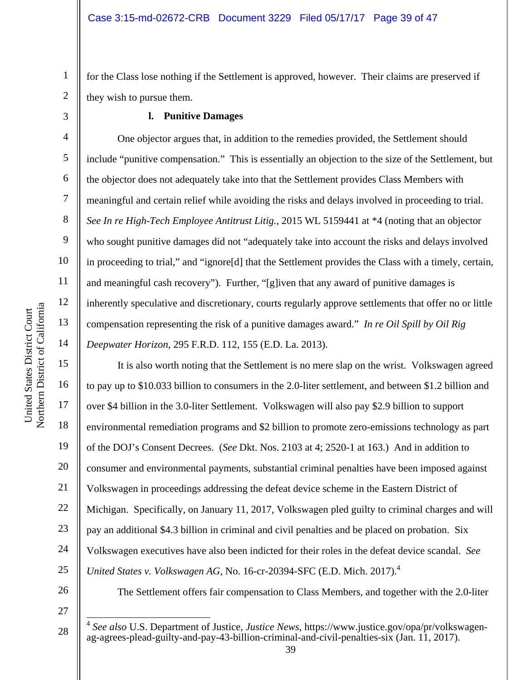2 for the Class lose nothing if the Settlement is approved, however. Their claims are preserved if they wish to pursue them.

#### **l. Punitive Damages**

One objector argues that, in addition to the remedies provided, the Settlement should include "punitive compensation." This is essentially an objection to the size of the Settlement, but the objector does not adequately take into that the Settlement provides Class Members with meaningful and certain relief while avoiding the risks and delays involved in proceeding to trial. *See In re High-Tech Employee Antitrust Litig.*, 2015 WL 5159441 at \*4 (noting that an objector who sought punitive damages did not "adequately take into account the risks and delays involved in proceeding to trial," and "ignore[d] that the Settlement provides the Class with a timely, certain, and meaningful cash recovery"). Further, "[g]iven that any award of punitive damages is inherently speculative and discretionary, courts regularly approve settlements that offer no or little compensation representing the risk of a punitive damages award." *In re Oil Spill by Oil Rig Deepwater Horizon*, 295 F.R.D. 112, 155 (E.D. La. 2013).

It is also worth noting that the Settlement is no mere slap on the wrist. Volkswagen agreed to pay up to \$10.033 billion to consumers in the 2.0-liter settlement, and between \$1.2 billion and over \$4 billion in the 3.0-liter Settlement. Volkswagen will also pay \$2.9 billion to support environmental remediation programs and \$2 billion to promote zero-emissions technology as part of the DOJ's Consent Decrees. (*See* Dkt. Nos. 2103 at 4; 2520-1 at 163.) And in addition to consumer and environmental payments, substantial criminal penalties have been imposed against Volkswagen in proceedings addressing the defeat device scheme in the Eastern District of Michigan. Specifically, on January 11, 2017, Volkswagen pled guilty to criminal charges and will pay an additional \$4.3 billion in criminal and civil penalties and be placed on probation. Six Volkswagen executives have also been indicted for their roles in the defeat device scandal. *See United States v. Volkswagen AG*, No. 16-cr-20394-SFC (E.D. Mich. 2017).4

26 27

 $\overline{\phantom{a}}$ 

The Settlement offers fair compensation to Class Members, and together with the 2.0-liter

1

3

4

5

6

7

8

9

10

11

12

13

14

15

16

17

18

19

20

21

22

23

24

<sup>28</sup>  <sup>4</sup> *See also* U.S. Department of Justice, *Justice News*, https://www.justice.gov/opa/pr/volkswagenag-agrees-plead-guilty-and-pay-43-billion-criminal-and-civil-penalties-six (Jan. 11, 2017).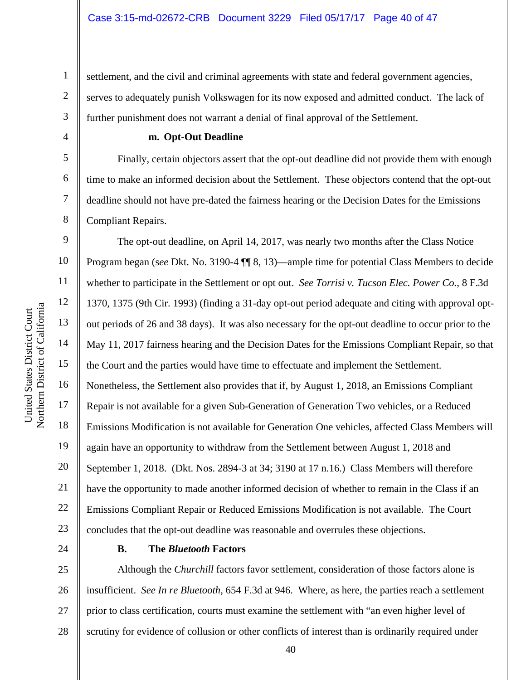settlement, and the civil and criminal agreements with state and federal government agencies, serves to adequately punish Volkswagen for its now exposed and admitted conduct. The lack of further punishment does not warrant a denial of final approval of the Settlement.

#### **m. Opt-Out Deadline**

Finally, certain objectors assert that the opt-out deadline did not provide them with enough time to make an informed decision about the Settlement. These objectors contend that the opt-out deadline should not have pre-dated the fairness hearing or the Decision Dates for the Emissions Compliant Repairs.

9 10 11 12 13 14 15 16 17 18 19 20 21 22 23 The opt-out deadline, on April 14, 2017, was nearly two months after the Class Notice Program began (s*ee* Dkt. No. 3190-4 ¶¶ 8, 13)—ample time for potential Class Members to decide whether to participate in the Settlement or opt out. *See Torrisi v. Tucson Elec. Power Co.*, 8 F.3d 1370, 1375 (9th Cir. 1993) (finding a 31-day opt-out period adequate and citing with approval optout periods of 26 and 38 days). It was also necessary for the opt-out deadline to occur prior to the May 11, 2017 fairness hearing and the Decision Dates for the Emissions Compliant Repair, so that the Court and the parties would have time to effectuate and implement the Settlement. Nonetheless, the Settlement also provides that if, by August 1, 2018, an Emissions Compliant Repair is not available for a given Sub-Generation of Generation Two vehicles, or a Reduced Emissions Modification is not available for Generation One vehicles, affected Class Members will again have an opportunity to withdraw from the Settlement between August 1, 2018 and September 1, 2018. (Dkt. Nos. 2894-3 at 34; 3190 at 17 n.16.) Class Members will therefore have the opportunity to made another informed decision of whether to remain in the Class if an Emissions Compliant Repair or Reduced Emissions Modification is not available. The Court concludes that the opt-out deadline was reasonable and overrules these objections.

24

#### **B. The** *Bluetooth* **Factors**

25 26 27 28 Although the *Churchill* factors favor settlement, consideration of those factors alone is insufficient. *See In re Bluetooth*, 654 F.3d at 946. Where, as here, the parties reach a settlement prior to class certification, courts must examine the settlement with "an even higher level of scrutiny for evidence of collusion or other conflicts of interest than is ordinarily required under

1

2

3

4

5

6

7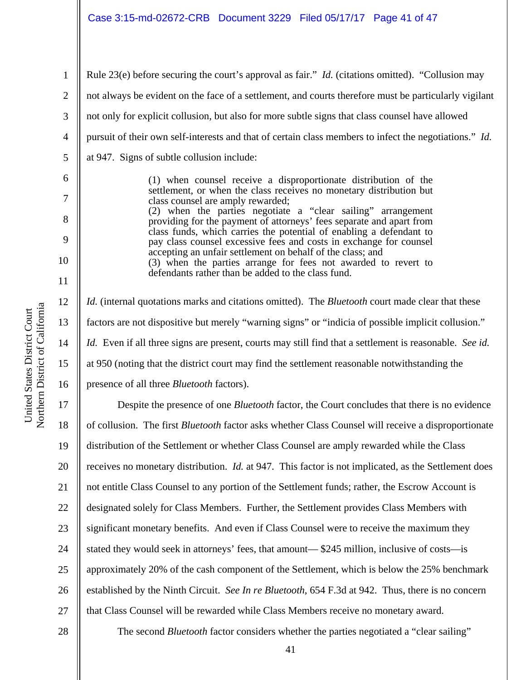Rule 23(e) before securing the court's approval as fair." *Id.* (citations omitted). "Collusion may not always be evident on the face of a settlement, and courts therefore must be particularly vigilant not only for explicit collusion, but also for more subtle signs that class counsel have allowed pursuit of their own self-interests and that of certain class members to infect the negotiations." *Id.* at 947. Signs of subtle collusion include:

> (1) when counsel receive a disproportionate distribution of the settlement, or when the class receives no monetary distribution but class counsel are amply rewarded; (2) when the parties negotiate a "clear sailing" arrangement providing for the payment of attorneys' fees separate and apart from class funds, which carries the potential of enabling a defendant to pay class counsel excessive fees and costs in exchange for counsel accepting an unfair settlement on behalf of the class; and (3) when the parties arrange for fees not awarded to revert to defendants rather than be added to the class fund.

*Id.* (internal quotations marks and citations omitted). The *Bluetooth* court made clear that these factors are not dispositive but merely "warning signs" or "indicia of possible implicit collusion." *Id.* Even if all three signs are present, courts may still find that a settlement is reasonable. *See id.* at 950 (noting that the district court may find the settlement reasonable notwithstanding the presence of all three *Bluetooth* factors).

17 18 19 20 21 22 23 24 25 26 27 Despite the presence of one *Bluetooth* factor, the Court concludes that there is no evidence of collusion. The first *Bluetooth* factor asks whether Class Counsel will receive a disproportionate distribution of the Settlement or whether Class Counsel are amply rewarded while the Class receives no monetary distribution. *Id.* at 947. This factor is not implicated, as the Settlement does not entitle Class Counsel to any portion of the Settlement funds; rather, the Escrow Account is designated solely for Class Members. Further, the Settlement provides Class Members with significant monetary benefits. And even if Class Counsel were to receive the maximum they stated they would seek in attorneys' fees, that amount— \$245 million, inclusive of costs—is approximately 20% of the cash component of the Settlement, which is below the 25% benchmark established by the Ninth Circuit. *See In re Bluetooth*, 654 F.3d at 942. Thus, there is no concern that Class Counsel will be rewarded while Class Members receive no monetary award.

28

The second *Bluetooth* factor considers whether the parties negotiated a "clear sailing"

a

1

2

3

4

5

6

7

8

9

10

11

12

13

14

15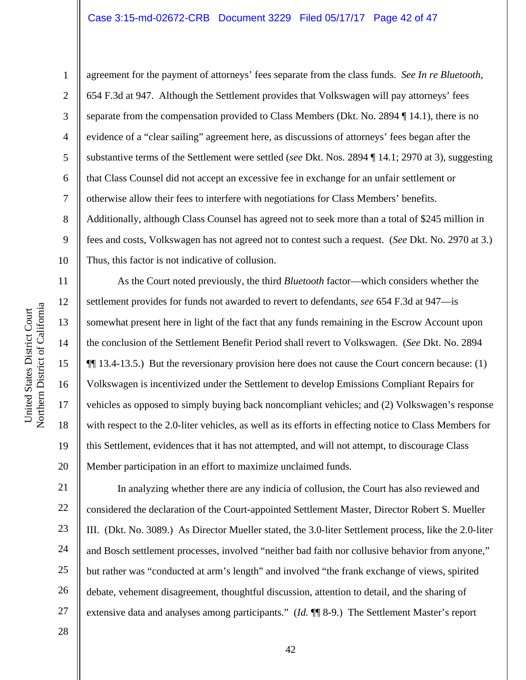#### Case 3:15-md-02672-CRB Document 3229 Filed 05/17/17 Page 42 of 47

a United States District Court United States District Court Northern District of Californi

11

12

13

14

15

16

17

18

19

20

21

22

23

24

25

26

27

1 2 3 4 5 6 7 8 9 10 agreement for the payment of attorneys' fees separate from the class funds. *See In re Bluetooth*, 654 F.3d at 947. Although the Settlement provides that Volkswagen will pay attorneys' fees separate from the compensation provided to Class Members (Dkt. No. 2894 ¶ 14.1), there is no evidence of a "clear sailing" agreement here, as discussions of attorneys' fees began after the substantive terms of the Settlement were settled (*see* Dkt. Nos. 2894 ¶ 14.1; 2970 at 3), suggesting that Class Counsel did not accept an excessive fee in exchange for an unfair settlement or otherwise allow their fees to interfere with negotiations for Class Members' benefits. Additionally, although Class Counsel has agreed not to seek more than a total of \$245 million in fees and costs, Volkswagen has not agreed not to contest such a request. (*See* Dkt. No. 2970 at 3.) Thus, this factor is not indicative of collusion.

As the Court noted previously, the third *Bluetooth* factor—which considers whether the settlement provides for funds not awarded to revert to defendants, *see* 654 F.3d at 947—is somewhat present here in light of the fact that any funds remaining in the Escrow Account upon the conclusion of the Settlement Benefit Period shall revert to Volkswagen. (*See* Dkt. No. 2894 ¶¶ 13.4-13.5.) But the reversionary provision here does not cause the Court concern because: (1) Volkswagen is incentivized under the Settlement to develop Emissions Compliant Repairs for vehicles as opposed to simply buying back noncompliant vehicles; and (2) Volkswagen's response with respect to the 2.0-liter vehicles, as well as its efforts in effecting notice to Class Members for this Settlement, evidences that it has not attempted, and will not attempt, to discourage Class Member participation in an effort to maximize unclaimed funds.

In analyzing whether there are any indicia of collusion, the Court has also reviewed and considered the declaration of the Court-appointed Settlement Master, Director Robert S. Mueller III. (Dkt. No. 3089.) As Director Mueller stated, the 3.0-liter Settlement process, like the 2.0-liter and Bosch settlement processes, involved "neither bad faith nor collusive behavior from anyone," but rather was "conducted at arm's length" and involved "the frank exchange of views, spirited debate, vehement disagreement, thoughtful discussion, attention to detail, and the sharing of extensive data and analyses among participants." (*Id.* ¶¶ 8-9.) The Settlement Master's report

28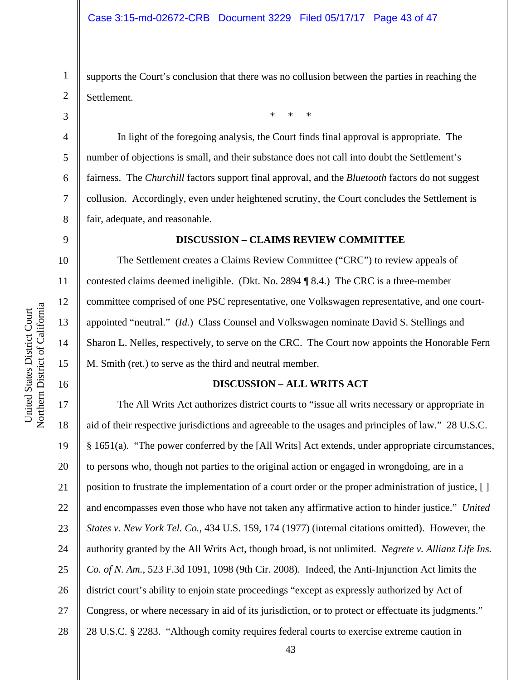supports the Court's conclusion that there was no collusion between the parties in reaching the Settlement.

\* \* \*

2 3

4

5

6

7

8

9

10

11

12

13

14

15

16

1

In light of the foregoing analysis, the Court finds final approval is appropriate. The number of objections is small, and their substance does not call into doubt the Settlement's fairness. The *Churchill* factors support final approval, and the *Bluetooth* factors do not suggest collusion. Accordingly, even under heightened scrutiny, the Court concludes the Settlement is fair, adequate, and reasonable.

#### **DISCUSSION – CLAIMS REVIEW COMMITTEE**

The Settlement creates a Claims Review Committee ("CRC") to review appeals of contested claims deemed ineligible. (Dkt. No. 2894 ¶ 8.4.) The CRC is a three-member committee comprised of one PSC representative, one Volkswagen representative, and one courtappointed "neutral." (*Id.*) Class Counsel and Volkswagen nominate David S. Stellings and Sharon L. Nelles, respectively, to serve on the CRC. The Court now appoints the Honorable Fern M. Smith (ret.) to serve as the third and neutral member.

#### **DISCUSSION – ALL WRITS ACT**

17 18 19 20 21 22 23 24 25 26 27 28 The All Writs Act authorizes district courts to "issue all writs necessary or appropriate in aid of their respective jurisdictions and agreeable to the usages and principles of law." 28 U.S.C. § 1651(a). "The power conferred by the [All Writs] Act extends, under appropriate circumstances, to persons who, though not parties to the original action or engaged in wrongdoing, are in a position to frustrate the implementation of a court order or the proper administration of justice, [ ] and encompasses even those who have not taken any affirmative action to hinder justice." *United States v. New York Tel. Co.*, 434 U.S. 159, 174 (1977) (internal citations omitted). However, the authority granted by the All Writs Act, though broad, is not unlimited. *Negrete v. Allianz Life Ins. Co. of N. Am.*, 523 F.3d 1091, 1098 (9th Cir. 2008). Indeed, the Anti-Injunction Act limits the district court's ability to enjoin state proceedings "except as expressly authorized by Act of Congress, or where necessary in aid of its jurisdiction, or to protect or effectuate its judgments." 28 U.S.C. § 2283. "Although comity requires federal courts to exercise extreme caution in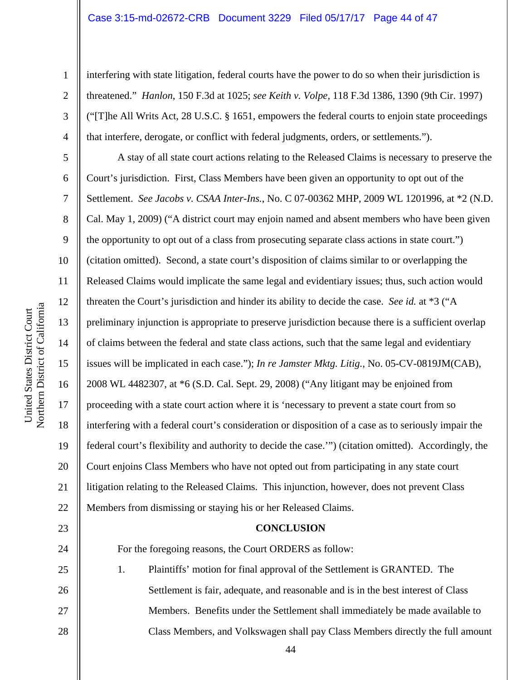interfering with state litigation, federal courts have the power to do so when their jurisdiction is threatened." *Hanlon*, 150 F.3d at 1025; *see Keith v. Volpe*, 118 F.3d 1386, 1390 (9th Cir. 1997) ("[T]he All Writs Act, 28 U.S.C. § 1651, empowers the federal courts to enjoin state proceedings that interfere, derogate, or conflict with federal judgments, orders, or settlements.").

A stay of all state court actions relating to the Released Claims is necessary to preserve the Court's jurisdiction. First, Class Members have been given an opportunity to opt out of the Settlement. *See Jacobs v. CSAA Inter-Ins.*, No. C 07-00362 MHP, 2009 WL 1201996, at \*2 (N.D. Cal. May 1, 2009) ("A district court may enjoin named and absent members who have been given the opportunity to opt out of a class from prosecuting separate class actions in state court.") (citation omitted). Second, a state court's disposition of claims similar to or overlapping the Released Claims would implicate the same legal and evidentiary issues; thus, such action would threaten the Court's jurisdiction and hinder its ability to decide the case. *See id.* at \*3 ("A preliminary injunction is appropriate to preserve jurisdiction because there is a sufficient overlap of claims between the federal and state class actions, such that the same legal and evidentiary issues will be implicated in each case."); *In re Jamster Mktg. Litig.*, No. 05-CV-0819JM(CAB), 2008 WL 4482307, at \*6 (S.D. Cal. Sept. 29, 2008) ("Any litigant may be enjoined from proceeding with a state court action where it is 'necessary to prevent a state court from so interfering with a federal court's consideration or disposition of a case as to seriously impair the federal court's flexibility and authority to decide the case.'") (citation omitted). Accordingly, the Court enjoins Class Members who have not opted out from participating in any state court litigation relating to the Released Claims. This injunction, however, does not prevent Class Members from dismissing or staying his or her Released Claims.

#### **CONCLUSION**

For the foregoing reasons, the Court ORDERS as follow:

1. Plaintiffs' motion for final approval of the Settlement is GRANTED. The Settlement is fair, adequate, and reasonable and is in the best interest of Class Members. Benefits under the Settlement shall immediately be made available to Class Members, and Volkswagen shall pay Class Members directly the full amount

1

2

3

4

5

6

7

8

9

10

11

12

13

14

15

16

17

18

19

20

21

22

23

24

25

26

27

28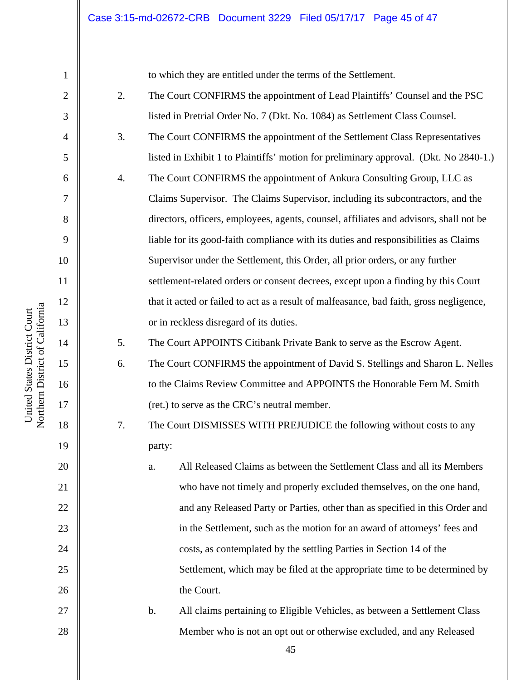to which they are entitled under the terms of the Settlement.

- 2. The Court CONFIRMS the appointment of Lead Plaintiffs' Counsel and the PSC listed in Pretrial Order No. 7 (Dkt. No. 1084) as Settlement Class Counsel.
- 3. The Court CONFIRMS the appointment of the Settlement Class Representatives listed in Exhibit 1 to Plaintiffs' motion for preliminary approval. (Dkt. No 2840-1.)
	- 4. The Court CONFIRMS the appointment of Ankura Consulting Group, LLC as Claims Supervisor. The Claims Supervisor, including its subcontractors, and the directors, officers, employees, agents, counsel, affiliates and advisors, shall not be liable for its good-faith compliance with its duties and responsibilities as Claims Supervisor under the Settlement, this Order, all prior orders, or any further settlement-related orders or consent decrees, except upon a finding by this Court that it acted or failed to act as a result of malfeasance, bad faith, gross negligence, or in reckless disregard of its duties.

5. The Court APPOINTS Citibank Private Bank to serve as the Escrow Agent.

- 6. The Court CONFIRMS the appointment of David S. Stellings and Sharon L. Nelles to the Claims Review Committee and APPOINTS the Honorable Fern M. Smith (ret.) to serve as the CRC's neutral member.
- 7. The Court DISMISSES WITH PREJUDICE the following without costs to any party:
	- a. All Released Claims as between the Settlement Class and all its Members who have not timely and properly excluded themselves, on the one hand, and any Released Party or Parties, other than as specified in this Order and in the Settlement, such as the motion for an award of attorneys' fees and costs, as contemplated by the settling Parties in Section 14 of the Settlement, which may be filed at the appropriate time to be determined by the Court.
- b. All claims pertaining to Eligible Vehicles, as between a Settlement Class Member who is not an opt out or otherwise excluded, and any Released

1

2

3

4

5

6

7

8

9

10

11

12

13

14

15

16

17

18

19

20

21

22

23

24

25

26

27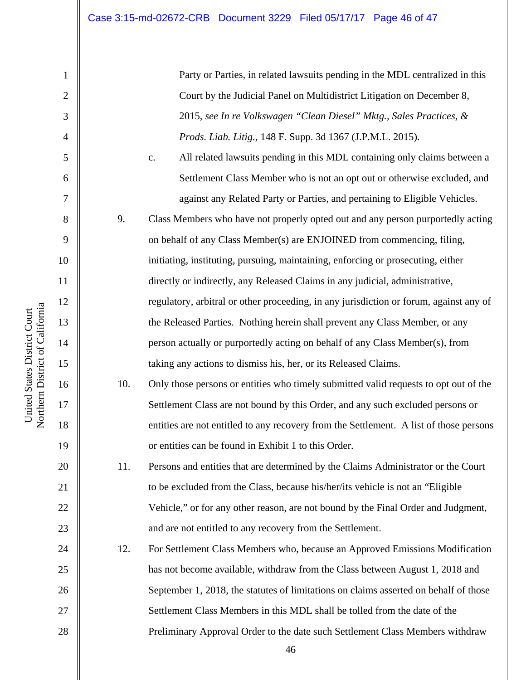Party or Parties, in related lawsuits pending in the MDL centralized in this Court by the Judicial Panel on Multidistrict Litigation on December 8, 2015, *see In re Volkswagen "Clean Diesel" Mktg., Sales Practices, & Prods. Liab. Litig.,* 148 F. Supp. 3d 1367 (J.P.M.L. 2015).

c. All related lawsuits pending in this MDL containing only claims between a Settlement Class Member who is not an opt out or otherwise excluded, and against any Related Party or Parties, and pertaining to Eligible Vehicles.

9. Class Members who have not properly opted out and any person purportedly acting on behalf of any Class Member(s) are ENJOINED from commencing, filing, initiating, instituting, pursuing, maintaining, enforcing or prosecuting, either directly or indirectly, any Released Claims in any judicial, administrative, regulatory, arbitral or other proceeding, in any jurisdiction or forum, against any of the Released Parties. Nothing herein shall prevent any Class Member, or any person actually or purportedly acting on behalf of any Class Member(s), from taking any actions to dismiss his, her, or its Released Claims.

10. Only those persons or entities who timely submitted valid requests to opt out of the Settlement Class are not bound by this Order, and any such excluded persons or entities are not entitled to any recovery from the Settlement. A list of those persons or entities can be found in Exhibit 1 to this Order.

11. Persons and entities that are determined by the Claims Administrator or the Court to be excluded from the Class, because his/her/its vehicle is not an "Eligible Vehicle," or for any other reason, are not bound by the Final Order and Judgment, and are not entitled to any recovery from the Settlement.

12. For Settlement Class Members who, because an Approved Emissions Modification has not become available, withdraw from the Class between August 1, 2018 and September 1, 2018, the statutes of limitations on claims asserted on behalf of those Settlement Class Members in this MDL shall be tolled from the date of the Preliminary Approval Order to the date such Settlement Class Members withdraw

1

2

3

4

5

6

7

8

9

10

11

12

13

14

15

16

17

18

19

20

21

22

23

24

25

26

27

28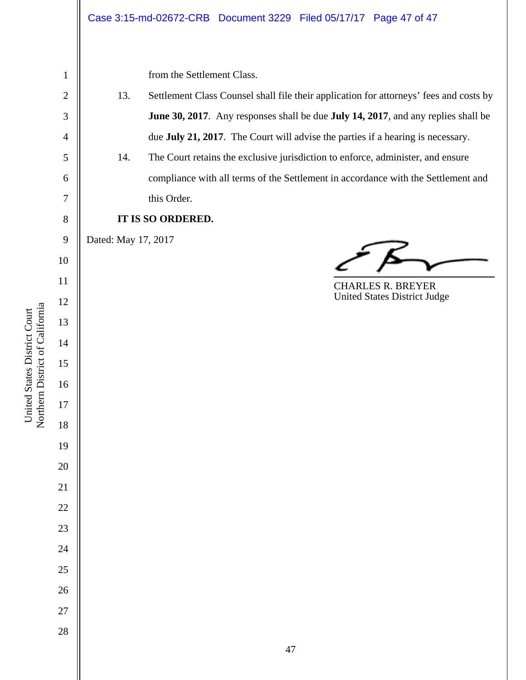| $\mathbf{1}$   |                     | from the Settlement Class.                                                             |
|----------------|---------------------|----------------------------------------------------------------------------------------|
| $\mathbf{2}$   | 13.                 | Settlement Class Counsel shall file their application for attorneys' fees and costs by |
| 3              |                     | June 30, 2017. Any responses shall be due July 14, 2017, and any replies shall be      |
| $\overline{4}$ |                     | due July 21, 2017. The Court will advise the parties if a hearing is necessary.        |
| 5              | 14.                 | The Court retains the exclusive jurisdiction to enforce, administer, and ensure        |
| 6              |                     | compliance with all terms of the Settlement in accordance with the Settlement and      |
| $\tau$         |                     | this Order.                                                                            |
| $8\,$          |                     | IT IS SO ORDERED.                                                                      |
| 9              | Dated: May 17, 2017 |                                                                                        |
| 10             |                     |                                                                                        |
| 11             |                     | <b>CHARLES R. BREYER</b>                                                               |
| 12             |                     | United States District Judge                                                           |
| 13             |                     |                                                                                        |
| 14             |                     |                                                                                        |
| 15             |                     |                                                                                        |
| 16             |                     |                                                                                        |
| 17             |                     |                                                                                        |
| 18             |                     |                                                                                        |
| 19             |                     |                                                                                        |
| $20\,$         |                     |                                                                                        |
| $21\,$         |                     |                                                                                        |
| $22\,$         |                     |                                                                                        |
| $23\,$         |                     |                                                                                        |
| $24\,$         |                     |                                                                                        |
| $25\,$         |                     |                                                                                        |
| $26\,$         |                     |                                                                                        |
| 27             |                     |                                                                                        |
| 28             |                     |                                                                                        |
|                |                     | $47\,$                                                                                 |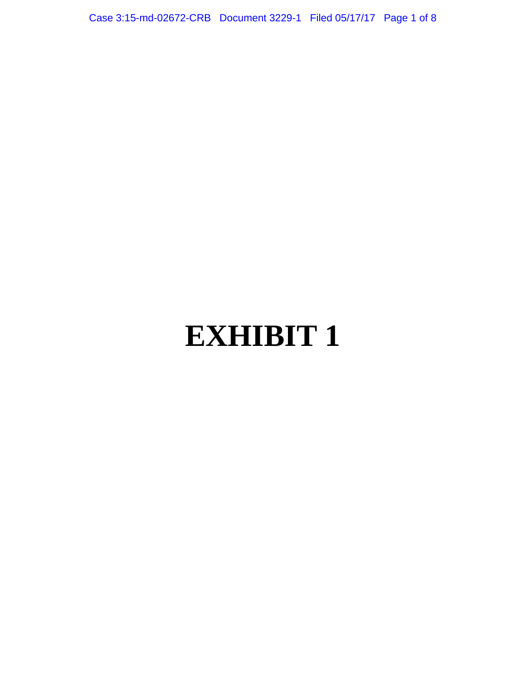Case 3:15-md-02672-CRB Document 3229-1 Filed 05/17/17 Page 1 of 8

# **EXHIBIT 1**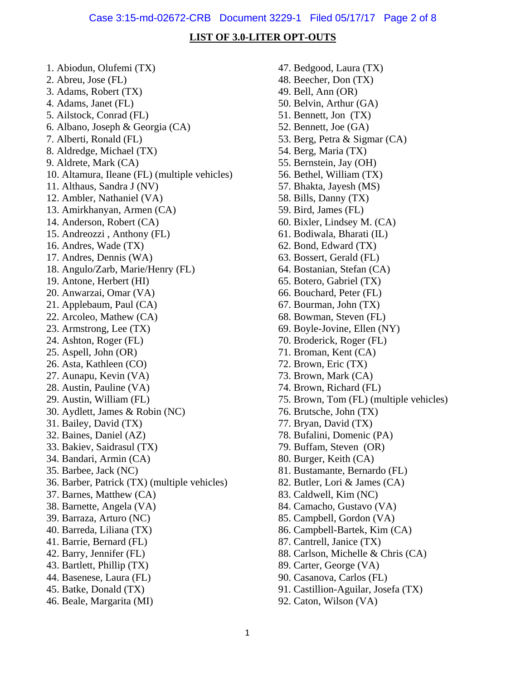#### **LIST OF 3.0-LITER OPT-OUTS**

1. Abiodun, Olufemi (TX) 2. Abreu, Jose (FL) 3. Adams, Robert (TX) 4. Adams, Janet (FL) 5. Ailstock, Conrad (FL) 6. Albano, Joseph & Georgia (CA) 7. Alberti, Ronald (FL) 8. Aldredge, Michael (TX) 9. Aldrete, Mark (CA) 10. Altamura, Ileane (FL) (multiple vehicles) 11. Althaus, Sandra J (NV) 12. Ambler, Nathaniel (VA) 13. Amirkhanyan, Armen (CA) 14. Anderson, Robert (CA) 15. Andreozzi , Anthony (FL) 16. Andres, Wade (TX) 17. Andres, Dennis (WA) 18. Angulo/Zarb, Marie/Henry (FL) 19. Antone, Herbert (HI) 20. Anwarzai, Omar (VA) 21. Applebaum, Paul (CA) 22. Arcoleo, Mathew (CA) 23. Armstrong, Lee (TX) 24. Ashton, Roger (FL) 25. Aspell, John (OR) 26. Asta, Kathleen (CO) 27. Aunapu, Kevin (VA) 28. Austin, Pauline (VA) 29. Austin, William (FL) 30. Aydlett, James & Robin (NC) 31. Bailey, David (TX) 32. Baines, Daniel (AZ) 33. Bakiev, Saidrasul (TX) 34. Bandari, Armin (CA) 35. Barbee, Jack (NC) 36. Barber, Patrick (TX) (multiple vehicles) 37. Barnes, Matthew (CA) 38. Barnette, Angela (VA) 39. Barraza, Arturo (NC) 40. Barreda, Liliana (TX) 41. Barrie, Bernard (FL) 42. Barry, Jennifer (FL) 43. Bartlett, Phillip (TX) 44. Basenese, Laura (FL) 45. Batke, Donald (TX) 46. Beale, Margarita (MI)

47. Bedgood, Laura (TX) 48. Beecher, Don (TX) 49. Bell, Ann (OR) 50. Belvin, Arthur (GA) 51. Bennett, Jon (TX) 52. Bennett, Joe (GA) 53. Berg, Petra & Sigmar (CA) 54. Berg, Maria (TX) 55. Bernstein, Jay (OH) 56. Bethel, William (TX) 57. Bhakta, Jayesh (MS) 58. Bills, Danny (TX) 59. Bird, James (FL) 60. Bixler, Lindsey M. (CA) 61. Bodiwala, Bharati (IL) 62. Bond, Edward (TX) 63. Bossert, Gerald (FL) 64. Bostanian, Stefan (CA) 65. Botero, Gabriel (TX) 66. Bouchard, Peter (FL) 67. Bourman, John (TX) 68. Bowman, Steven (FL) 69. Boyle-Jovine, Ellen (NY) 70. Broderick, Roger (FL) 71. Broman, Kent (CA) 72. Brown, Eric (TX) 73. Brown, Mark (CA) 74. Brown, Richard (FL) 75. Brown, Tom (FL) (multiple vehicles) 76. Brutsche, John (TX) 77. Bryan, David (TX) 78. Bufalini, Domenic (PA) 79. Buffam, Steven (OR) 80. Burger, Keith (CA) 81. Bustamante, Bernardo (FL) 82. Butler, Lori & James (CA) 83. Caldwell, Kim (NC) 84. Camacho, Gustavo (VA) 85. Campbell, Gordon (VA) 86. Campbell-Bartek, Kim (CA) 87. Cantrell, Janice (TX) 88. Carlson, Michelle & Chris (CA) 89. Carter, George (VA) 90. Casanova, Carlos (FL) 91. Castillion-Aguilar, Josefa (TX)

92. Caton, Wilson (VA)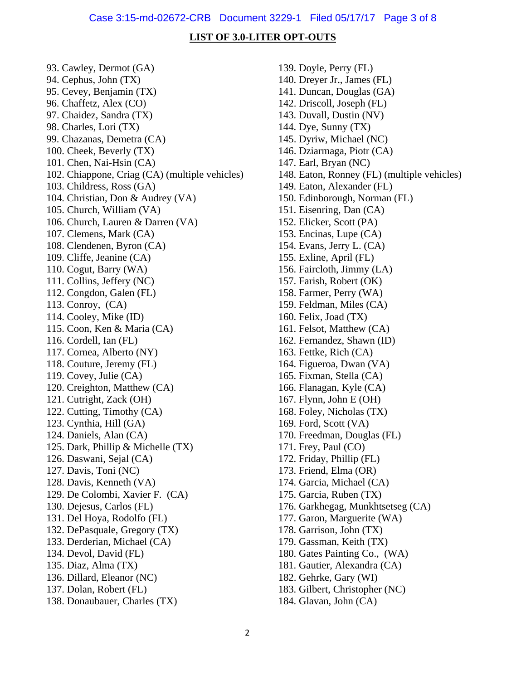#### **LIST OF 3.0-LITER OPT-OUTS**

93. Cawley, Dermot (GA) 94. Cephus, John (TX) 95. Cevey, Benjamin (TX) 96. Chaffetz, Alex (CO) 97. Chaidez, Sandra (TX) 98. Charles, Lori (TX) 99. Chazanas, Demetra (CA) 100. Cheek, Beverly (TX) 101. Chen, Nai-Hsin (CA) 102. Chiappone, Criag (CA) (multiple vehicles) 103. Childress, Ross (GA) 104. Christian, Don & Audrey (VA) 105. Church, William (VA) 106. Church, Lauren & Darren (VA) 107. Clemens, Mark (CA) 108. Clendenen, Byron (CA) 109. Cliffe, Jeanine (CA) 110. Cogut, Barry (WA) 111. Collins, Jeffery (NC) 112. Congdon, Galen (FL) 113. Conroy, (CA) 114. Cooley, Mike (ID) 115. Coon, Ken & Maria (CA) 116. Cordell, Ian (FL) 117. Cornea, Alberto (NY) 118. Couture, Jeremy (FL) 119. Covey, Julie (CA) 120. Creighton, Matthew (CA) 121. Cutright, Zack (OH) 122. Cutting, Timothy (CA) 123. Cynthia, Hill (GA) 124. Daniels, Alan (CA) 125. Dark, Phillip & Michelle (TX) 126. Daswani, Sejal (CA) 127. Davis, Toni (NC) 128. Davis, Kenneth (VA) 129. De Colombi, Xavier F. (CA) 130. Dejesus, Carlos (FL) 131. Del Hoya, Rodolfo (FL) 132. DePasquale, Gregory (TX) 133. Derderian, Michael (CA) 134. Devol, David (FL) 135. Diaz, Alma (TX) 136. Dillard, Eleanor (NC) 137. Dolan, Robert (FL) 138. Donaubauer, Charles (TX)

139. Doyle, Perry (FL) 140. Dreyer Jr., James (FL) 141. Duncan, Douglas (GA) 142. Driscoll, Joseph (FL) 143. Duvall, Dustin (NV) 144. Dye, Sunny (TX) 145. Dyriw, Michael (NC) 146. Dziarmaga, Piotr (CA) 147. Earl, Bryan (NC) 148. Eaton, Ronney (FL) (multiple vehicles) 149. Eaton, Alexander (FL) 150. Edinborough, Norman (FL) 151. Eisenring, Dan (CA) 152. Elicker, Scott (PA) 153. Encinas, Lupe (CA) 154. Evans, Jerry L. (CA) 155. Exline, April (FL) 156. Faircloth, Jimmy (LA) 157. Farish, Robert (OK) 158. Farmer, Perry (WA) 159. Feldman, Miles (CA) 160. Felix, Joad (TX) 161. Felsot, Matthew (CA) 162. Fernandez, Shawn (ID) 163. Fettke, Rich (CA) 164. Figueroa, Dwan (VA) 165. Fixman, Stella (CA) 166. Flanagan, Kyle (CA) 167. Flynn, John E (OH) 168. Foley, Nicholas (TX) 169. Ford, Scott (VA) 170. Freedman, Douglas (FL) 171. Frey, Paul (CO) 172. Friday, Phillip (FL) 173. Friend, Elma (OR) 174. Garcia, Michael (CA) 175. Garcia, Ruben (TX) 176. Garkhegag, Munkhtsetseg (CA) 177. Garon, Marguerite (WA) 178. Garrison, John (TX) 179. Gassman, Keith (TX) 180. Gates Painting Co., (WA) 181. Gautier, Alexandra (CA) 182. Gehrke, Gary (WI) 183. Gilbert, Christopher (NC) 184. Glavan, John (CA)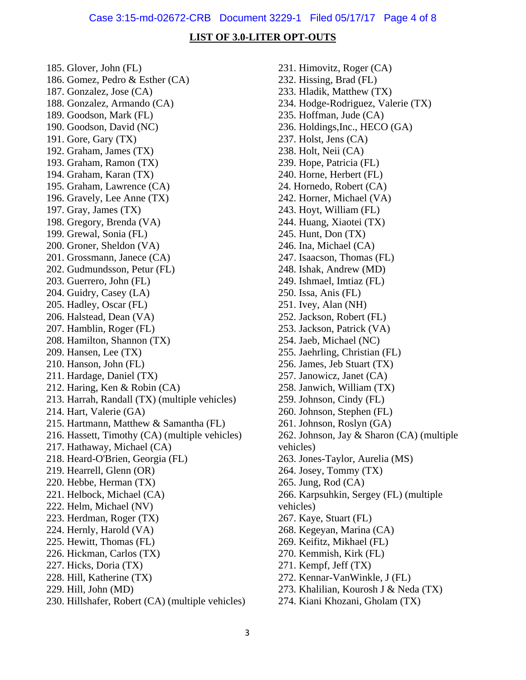#### Case 3:15-md-02672-CRB Document 3229-1 Filed 05/17/17 Page 4 of 8

#### **LIST OF 3.0-LITER OPT-OUTS**

185. Glover, John (FL) 186. Gomez, Pedro & Esther (CA) 187. Gonzalez, Jose (CA) 188. Gonzalez, Armando (CA) 189. Goodson, Mark (FL) 190. Goodson, David (NC) 191. Gore, Gary (TX) 192. Graham, James (TX) 193. Graham, Ramon (TX) 194. Graham, Karan (TX) 195. Graham, Lawrence (CA) 196. Gravely, Lee Anne (TX) 197. Gray, James (TX) 198. Gregory, Brenda (VA) 199. Grewal, Sonia (FL) 200. Groner, Sheldon (VA) 201. Grossmann, Janece (CA) 202. Gudmundsson, Petur (FL) 203. Guerrero, John (FL) 204. Guidry, Casey (LA) 205. Hadley, Oscar (FL) 206. Halstead, Dean (VA) 207. Hamblin, Roger (FL) 208. Hamilton, Shannon (TX) 209. Hansen, Lee (TX) 210. Hanson, John (FL) 211. Hardage, Daniel (TX) 212. Haring, Ken & Robin (CA) 213. Harrah, Randall (TX) (multiple vehicles) 214. Hart, Valerie (GA) 215. Hartmann, Matthew & Samantha (FL) 216. Hassett, Timothy (CA) (multiple vehicles) 217. Hathaway, Michael (CA) 218. Heard-O'Brien, Georgia (FL) 219. Hearrell, Glenn (OR) 220. Hebbe, Herman (TX) 221. Helbock, Michael (CA) 222. Helm, Michael (NV) 223. Herdman, Roger (TX) 224. Hernly, Harold (VA) 225. Hewitt, Thomas (FL) 226. Hickman, Carlos (TX) 227. Hicks, Doria (TX) 228. Hill, Katherine (TX) 229. Hill, John (MD) 230. Hillshafer, Robert (CA) (multiple vehicles) 231. Himovitz, Roger (CA) 232. Hissing, Brad (FL) 233. Hladik, Matthew (TX) 234. Hodge-Rodriguez, Valerie (TX) 235. Hoffman, Jude (CA) 236. Holdings,Inc., HECO (GA) 237. Holst, Jens (CA) 238. Holt, Neii (CA) 239. Hope, Patricia (FL) 240. Horne, Herbert (FL) 24. Hornedo, Robert (CA) 242. Horner, Michael (VA) 243. Hoyt, William (FL) 244. Huang, Xiaotei (TX) 245. Hunt, Don (TX) 246. Ina, Michael (CA) 247. Isaacson, Thomas (FL) 248. Ishak, Andrew (MD) 249. Ishmael, Imtiaz (FL) 250. Issa, Anis (FL) 251. Ivey, Alan (NH) 252. Jackson, Robert (FL) 253. Jackson, Patrick (VA) 254. Jaeb, Michael (NC) 255. Jaehrling, Christian (FL) 256. James, Jeb Stuart (TX) 257. Janowicz, Janet (CA) 258. Janwich, William (TX) 259. Johnson, Cindy (FL) 260. Johnson, Stephen (FL) 261. Johnson, Roslyn (GA) 262. Johnson, Jay & Sharon (CA) (multiple vehicles) 263. Jones-Taylor, Aurelia (MS) 264. Josey, Tommy (TX) 265. Jung, Rod (CA) 266. Karpsuhkin, Sergey (FL) (multiple vehicles) 267. Kaye, Stuart (FL) 268. Kegeyan, Marina (CA) 269. Keifitz, Mikhael (FL) 270. Kemmish, Kirk (FL) 271. Kempf, Jeff (TX) 272. Kennar-VanWinkle, J (FL) 273. Khalilian, Kourosh J & Neda (TX)

274. Kiani Khozani, Gholam (TX)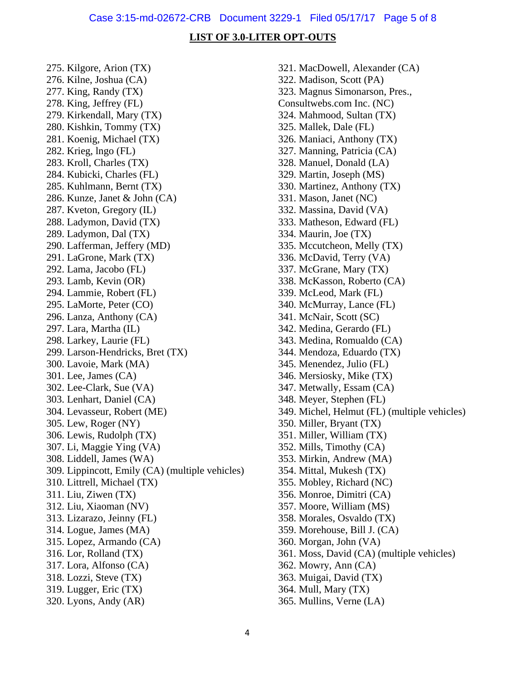#### **LIST OF 3.0-LITER OPT-OUTS**

275. Kilgore, Arion (TX) 276. Kilne, Joshua (CA) 277. King, Randy (TX) 278. King, Jeffrey (FL) 279. Kirkendall, Mary (TX) 280. Kishkin, Tommy (TX) 281. Koenig, Michael (TX) 282. Krieg, lngo (FL) 283. Kroll, Charles (TX) 284. Kubicki, Charles (FL) 285. Kuhlmann, Bernt (TX) 286. Kunze, Janet & John (CA) 287. Kveton, Gregory (IL) 288. Ladymon, David (TX) 289. Ladymon, Dal (TX) 290. Lafferman, Jeffery (MD) 291. LaGrone, Mark (TX) 292. Lama, Jacobo (FL) 293. Lamb, Kevin (OR) 294. Lammie, Robert (FL) 295. LaMorte, Peter (CO) 296. Lanza, Anthony (CA) 297. Lara, Martha (IL) 298. Larkey, Laurie (FL) 299. Larson-Hendricks, Bret (TX) 300. Lavoie, Mark (MA) 301. Lee, James (CA) 302. Lee-Clark, Sue (VA) 303. Lenhart, Daniel (CA) 304. Levasseur, Robert (ME) 305. Lew, Roger (NY) 306. Lewis, Rudolph (TX) 307. Li, Maggie Ying (VA) 308. Liddell, James (WA) 309. Lippincott, Emily (CA) (multiple vehicles) 310. Littrell, Michael (TX) 311. Liu, Ziwen (TX) 312. Liu, Xiaoman (NV) 313. Lizarazo, Jeinny (FL) 314. Logue, James (MA) 315. Lopez, Armando (CA) 316. Lor, Rolland (TX) 317. Lora, Alfonso (CA) 318. Lozzi, Steve (TX) 319. Lugger, Eric (TX) 320. Lyons, Andy (AR)

321. MacDowell, Alexander (CA) 322. Madison, Scott (PA) 323. Magnus Simonarson, Pres., Consultwebs.com Inc. (NC) 324. Mahmood, Sultan (TX) 325. Mallek, Dale (FL) 326. Maniaci, Anthony (TX) 327. Manning, Patricia (CA) 328. Manuel, Donald (LA) 329. Martin, Joseph (MS) 330. Martinez, Anthony (TX) 331. Mason, Janet (NC) 332. Massina, David (VA) 333. Matheson, Edward (FL) 334. Maurin, Joe (TX) 335. Mccutcheon, Melly (TX) 336. McDavid, Terry (VA) 337. McGrane, Mary (TX) 338. McKasson, Roberto (CA) 339. McLeod, Mark (FL) 340. McMurray, Lance (FL) 341. McNair, Scott (SC) 342. Medina, Gerardo (FL) 343. Medina, Romualdo (CA) 344. Mendoza, Eduardo (TX) 345. Menendez, Julio (FL) 346. Mersiosky, Mike (TX) 347. Metwally, Essam (CA) 348. Meyer, Stephen (FL) 349. Michel, Helmut (FL) (multiple vehicles) 350. Miller, Bryant (TX) 351. Miller, William (TX) 352. Mills, Timothy (CA) 353. Mirkin, Andrew (MA) 354. Mittal, Mukesh (TX) 355. Mobley, Richard (NC) 356. Monroe, Dimitri (CA) 357. Moore, William (MS) 358. Morales, Osvaldo (TX) 359. Morehouse, Bill J. (CA) 360. Morgan, John (VA) 361. Moss, David (CA) (multiple vehicles) 362. Mowry, Ann (CA) 363. Muigai, David (TX) 364. Mull, Mary (TX) 365. Mullins, Verne (LA)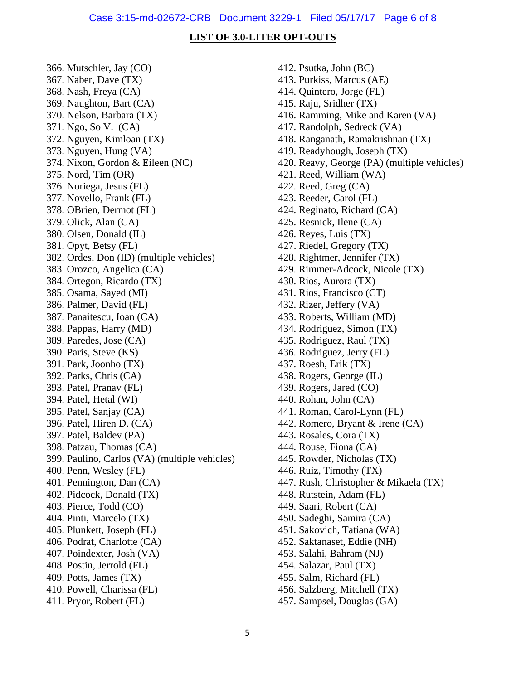#### **LIST OF 3.0-LITER OPT-OUTS**

366. Mutschler, Jay (CO) 367. Naber, Dave (TX) 368. Nash, Freya (CA) 369. Naughton, Bart (CA) 370. Nelson, Barbara (TX) 371. Ngo, So V. (CA) 372. Nguyen, Kimloan (TX) 373. Nguyen, Hung (VA) 374. Nixon, Gordon & Eileen (NC) 375. Nord, Tim (OR) 376. Noriega, Jesus (FL) 377. Novello, Frank (FL) 378. OBrien, Dermot (FL) 379. Olick, Alan (CA) 380. Olsen, Donald (IL) 381. Opyt, Betsy (FL) 382. Ordes, Don (ID) (multiple vehicles) 383. Orozco, Angelica (CA) 384. Ortegon, Ricardo (TX) 385. Osama, Sayed (MI) 386. Palmer, David (FL) 387. Panaitescu, Ioan (CA) 388. Pappas, Harry (MD) 389. Paredes, Jose (CA) 390. Paris, Steve (KS) 391. Park, Joonho (TX) 392. Parks, Chris (CA) 393. Patel, Pranav (FL) 394. Patel, Hetal (WI) 395. Patel, Sanjay (CA) 396. Patel, Hiren D. (CA) 397. Patel, Baldev (PA) 398. Patzau, Thomas (CA) 399. Paulino, Carlos (VA) (multiple vehicles) 400. Penn, Wesley (FL) 401. Pennington, Dan (CA) 402. Pidcock, Donald (TX) 403. Pierce, Todd (CO) 404. Pinti, Marcelo (TX) 405. Plunkett, Joseph (FL) 406. Podrat, Charlotte (CA) 407. Poindexter, Josh (VA) 408. Postin, Jerrold (FL) 409. Potts, James (TX) 410. Powell, Charissa (FL) 411. Pryor, Robert (FL)

412. Psutka, John (BC) 413. Purkiss, Marcus (AE) 414. Quintero, Jorge (FL) 415. Raju, Sridher (TX) 416. Ramming, Mike and Karen (VA) 417. Randolph, Sedreck (VA) 418. Ranganath, Ramakrishnan (TX) 419. Readyhough, Joseph (TX) 420. Reavy, George (PA) (multiple vehicles) 421. Reed, William (WA) 422. Reed, Greg (CA) 423. Reeder, Carol (FL) 424. Reginato, Richard (CA) 425. Resnick, Ilene (CA) 426. Reyes, Luis (TX) 427. Riedel, Gregory (TX) 428. Rightmer, Jennifer (TX) 429. Rimmer-Adcock, Nicole (TX) 430. Rios, Aurora (TX) 431. Rios, Francisco (CT) 432. Rizer, Jeffery (VA) 433. Roberts, William (MD) 434. Rodriguez, Simon (TX) 435. Rodriguez, Raul (TX) 436. Rodriguez, Jerry (FL) 437. Roesh, Erik (TX) 438. Rogers, George (IL) 439. Rogers, Jared (CO) 440. Rohan, John (CA) 441. Roman, Carol-Lynn (FL) 442. Romero, Bryant & Irene (CA) 443. Rosales, Cora (TX) 444. Rouse, Fiona (CA) 445. Rowder, Nicholas (TX) 446. Ruiz, Timothy (TX) 447. Rush, Christopher & Mikaela (TX) 448. Rutstein, Adam (FL) 449. Saari, Robert (CA) 450. Sadeghi, Samira (CA) 451. Sakovich, Tatiana (WA) 452. Saktanaset, Eddie (NH) 453. Salahi, Bahram (NJ) 454. Salazar, Paul (TX) 455. Salm, Richard (FL) 456. Salzberg, Mitchell (TX) 457. Sampsel, Douglas (GA)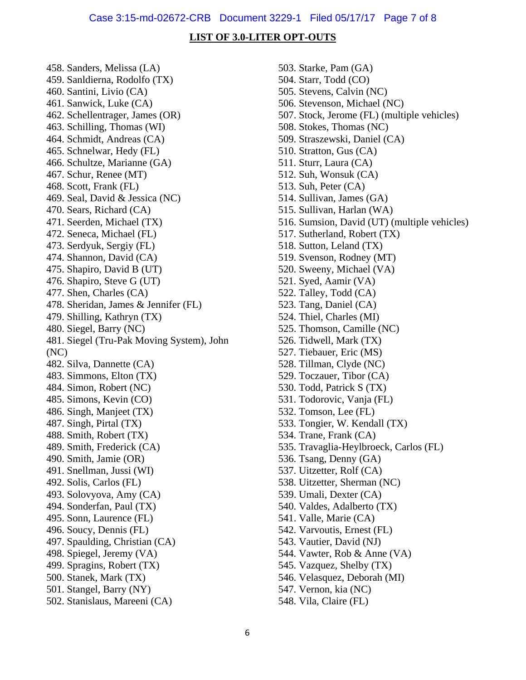#### Case 3:15-md-02672-CRB Document 3229-1 Filed 05/17/17 Page 7 of 8

#### **LIST OF 3.0-LITER OPT-OUTS**

458. Sanders, Melissa (LA) 459. Sanldierna, Rodolfo (TX) 460. Santini, Livio (CA) 461. Sanwick, Luke (CA) 462. Schellentrager, James (OR) 463. Schilling, Thomas (WI) 464. Schmidt, Andreas (CA) 465. Schnelwar, Hedy (FL) 466. Schultze, Marianne (GA) 467. Schur, Renee (MT) 468. Scott, Frank (FL) 469. Seal, David & Jessica (NC) 470. Sears, Richard (CA) 471. Seerden, Michael (TX) 472. Seneca, Michael (FL) 473. Serdyuk, Sergiy (FL) 474. Shannon, David (CA) 475. Shapiro, David B (UT) 476. Shapiro, Steve G (UT) 477. Shen, Charles (CA) 478. Sheridan, James & Jennifer (FL) 479. Shilling, Kathryn (TX) 480. Siegel, Barry (NC) 481. Siegel (Tru-Pak Moving System), John (NC) 482. Silva, Dannette (CA) 483. Simmons, Elton (TX) 484. Simon, Robert (NC) 485. Simons, Kevin (CO) 486. Singh, Manjeet (TX) 487. Singh, Pirtal (TX) 488. Smith, Robert (TX) 489. Smith, Frederick (CA) 490. Smith, Jamie (OR) 491. Snellman, Jussi (WI) 492. Solis, Carlos (FL) 493. Solovyova, Amy (CA) 494. Sonderfan, Paul (TX) 495. Sonn, Laurence (FL) 496. Soucy, Dennis (FL) 497. Spaulding, Christian (CA) 498. Spiegel, Jeremy (VA) 499. Spragins, Robert (TX) 500. Stanek, Mark (TX) 501. Stangel, Barry (NY) 502. Stanislaus, Mareeni (CA)

503. Starke, Pam (GA) 504. Starr, Todd (CO) 505. Stevens, Calvin (NC) 506. Stevenson, Michael (NC) 507. Stock, Jerome (FL) (multiple vehicles) 508. Stokes, Thomas (NC) 509. Straszewski, Daniel (CA) 510. Stratton, Gus (CA) 511. Sturr, Laura (CA) 512. Suh, Wonsuk (CA) 513. Suh, Peter (CA) 514. Sullivan, James (GA) 515. Sullivan, Harlan (WA) 516. Sumsion, David (UT) (multiple vehicles) 517. Sutherland, Robert (TX) 518. Sutton, Leland (TX) 519. Svenson, Rodney (MT) 520. Sweeny, Michael (VA) 521. Syed, Aamir (VA) 522. Talley, Todd (CA) 523. Tang, Daniel (CA) 524. Thiel, Charles (MI) 525. Thomson, Camille (NC) 526. Tidwell, Mark (TX) 527. Tiebauer, Eric (MS) 528. Tillman, Clyde (NC) 529. Toczauer, Tibor (CA) 530. Todd, Patrick S (TX) 531. Todorovic, Vanja (FL) 532. Tomson, Lee (FL) 533. Tongier, W. Kendall (TX) 534. Trane, Frank (CA) 535. Travaglia-Heylbroeck, Carlos (FL) 536. Tsang, Denny (GA) 537. Uitzetter, Rolf (CA) 538. Uitzetter, Sherman (NC) 539. Umali, Dexter (CA) 540. Valdes, Adalberto (TX) 541. Valle, Marie (CA) 542. Varvoutis, Ernest (FL) 543. Vautier, David (NJ) 544. Vawter, Rob & Anne (VA) 545. Vazquez, Shelby (TX) 546. Velasquez, Deborah (MI) 547. Vernon, kia (NC) 548. Vila, Claire (FL)